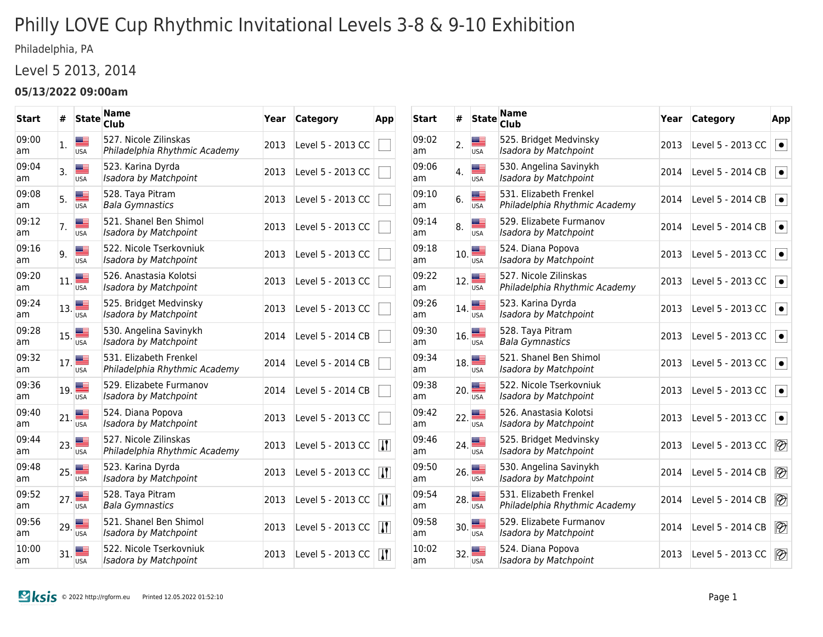# Philly LOVE Cup Rhythmic Invitational Levels 3-8 & 9-10 Exhibition

Philadelphia, PA

### Level 5 2013, 2014

#### **05/13/2022 09:00am**

| <b>Start</b> | #   | <b>State</b>             | <b>Name</b><br><b>Club</b>                              | Year | <b>Category</b>   | App                     |
|--------------|-----|--------------------------|---------------------------------------------------------|------|-------------------|-------------------------|
| 09:00<br>am  | 1.  | ≣<br><b>USA</b>          | 527. Nicole Zilinskas<br>Philadelphia Rhythmic Academy  | 2013 | Level 5 - 2013 CC |                         |
| 09:04<br>am  | 3.  | <b>Mar</b><br><b>USA</b> | 523. Karina Dyrda<br>Isadora by Matchpoint              | 2013 | Level 5 - 2013 CC |                         |
| 09:08<br>am  | 5.  | ≝<br><b>USA</b>          | 528. Taya Pitram<br><b>Bala Gymnastics</b>              | 2013 | Level 5 - 2013 CC |                         |
| 09:12<br>am  | 7.  | ≔<br><b>USA</b>          | 521. Shanel Ben Shimol<br>Isadora by Matchpoint         | 2013 | Level 5 - 2013 CC |                         |
| 09:16<br>am  | 9.  | 22<br><b>USA</b>         | 522. Nicole Tserkovniuk<br>Isadora by Matchpoint        | 2013 | Level 5 - 2013 CC |                         |
| 09:20<br>am  | 11. | ≝<br><b>USA</b>          | 526. Anastasia Kolotsi<br>Isadora by Matchpoint         | 2013 | Level 5 - 2013 CC |                         |
| 09:24<br>am  | 13. | ▄▆<br><b>USA</b>         | 525. Bridget Medvinsky<br>Isadora by Matchpoint         | 2013 | Level 5 - 2013 CC |                         |
| 09:28<br>am  | 15. | <b>USA</b>               | 530. Angelina Savinykh<br>Isadora by Matchpoint         | 2014 | Level 5 - 2014 CB |                         |
| 09:32<br>am  | 17. | <b>USA</b>               | 531. Elizabeth Frenkel<br>Philadelphia Rhythmic Academy | 2014 | Level 5 - 2014 CB |                         |
| 09:36<br>am  | 19. | ≡<br><b>USA</b>          | 529. Elizabete Furmanov<br>Isadora by Matchpoint        | 2014 | Level 5 - 2014 CB |                         |
| 09:40<br>am  | 21. | ≝<br><b>USA</b>          | 524. Diana Popova<br>Isadora by Matchpoint              | 2013 | Level 5 - 2013 CC |                         |
| 09:44<br>am  | 23. | <b>USA</b>               | 527. Nicole Zilinskas<br>Philadelphia Rhythmic Academy  | 2013 | Level 5 - 2013 CC | $\overline{\mathbf{H}}$ |
| 09:48<br>am  | 25. | <b>USA</b>               | 523. Karina Dyrda<br>Isadora by Matchpoint              | 2013 | Level 5 - 2013 CC | $\mathbf{H}$            |
| 09:52<br>am  | 27. | <b>USA</b>               | 528. Taya Pitram<br><b>Bala Gymnastics</b>              | 2013 | Level 5 - 2013 CC | $\mathbf{H}$            |
| 09:56<br>am  | 29. | <b>USA</b>               | 521. Shanel Ben Shimol<br>Isadora by Matchpoint         | 2013 | Level 5 - 2013 CC | $\overline{M}$          |
| 10:00<br>am  | 31. | <b>USA</b>               | 522. Nicole Tserkovniuk<br>Isadora by Matchpoint        | 2013 | Level 5 - 2013 CC | $\mathbf{H}$            |

| <b>Start</b> | #   | <b>State</b>      | <b>Name</b><br>Club                                     | Year | Category          | App                      |
|--------------|-----|-------------------|---------------------------------------------------------|------|-------------------|--------------------------|
| 09:02<br>am  | 2.  | æ<br><b>USA</b>   | 525. Bridget Medvinsky<br>Isadora by Matchpoint         | 2013 | Level 5 - 2013 CC | $\bullet$                |
| 09:06<br>am  | 4.  | <b>USA</b>        | 530. Angelina Savinykh<br>Isadora by Matchpoint         | 2014 | Level 5 - 2014 CB | $\bullet$                |
| 09:10<br>am  | 6.  | ≝<br><b>USA</b>   | 531. Elizabeth Frenkel<br>Philadelphia Rhythmic Academy | 2014 | Level 5 - 2014 CB | $\bullet$                |
| 09:14<br>am  | 8.  | æ<br><b>USA</b>   | 529. Elizabete Furmanov<br>Isadora by Matchpoint        | 2014 | Level 5 - 2014 CB | $\bullet$                |
| 09:18<br>am  |     | 10.<br><b>USA</b> | 524. Diana Popova<br>Isadora by Matchpoint              | 2013 | Level 5 - 2013 CC | $\bullet$                |
| 09:22<br>am  | 12. | ≝<br><b>USA</b>   | 527. Nicole Zilinskas<br>Philadelphia Rhythmic Academy  | 2013 | Level 5 - 2013 CC | $\bullet$                |
| 09:26<br>am  |     | 14.<br><b>USA</b> | 523. Karina Dyrda<br>Isadora by Matchpoint              | 2013 | Level 5 - 2013 CC | $\bullet$                |
| 09:30<br>am  | 16. | <b>USA</b>        | 528. Taya Pitram<br><b>Bala Gymnastics</b>              | 2013 | Level 5 - 2013 CC | $\bullet$                |
| 09:34<br>am  | 18. | <b>USA</b>        | 521. Shanel Ben Shimol<br>Isadora by Matchpoint         | 2013 | Level 5 - 2013 CC | $\bullet$                |
| 09:38<br>am  | 20. | ≝<br><b>USA</b>   | 522. Nicole Tserkovniuk<br>Isadora by Matchpoint        | 2013 | Level 5 - 2013 CC | $\bullet$                |
| 09:42<br>am  | 22. | <b>USA</b>        | 526. Anastasia Kolotsi<br>Isadora by Matchpoint         | 2013 | Level 5 - 2013 CC | $\bullet$                |
| 09:46<br>am  | 24. | <b>USA</b>        | 525. Bridget Medvinsky<br>Isadora by Matchpoint         | 2013 | Level 5 - 2013 CC | $\overline{\mathscr{D}}$ |
| 09:50<br>am  | 26. | ▀<br><b>USA</b>   | 530. Angelina Savinykh<br>Isadora by Matchpoint         | 2014 | Level 5 - 2014 CB | $\overline{\mathscr{D}}$ |
| 09:54<br>am  | 28. | <b>USA</b>        | 531. Elizabeth Frenkel<br>Philadelphia Rhythmic Academy | 2014 | Level 5 - 2014 CB | $\overline{\mathscr{D}}$ |
| 09:58<br>am  | 30. | <b>USA</b>        | 529. Elizabete Furmanov<br>Isadora by Matchpoint        | 2014 | Level 5 - 2014 CB | $\otimes$                |
| 10:02<br>am  | 32. | <b>USA</b>        | 524. Diana Popova<br>Isadora by Matchpoint              | 2013 | Level 5 - 2013 CC | $\otimes$                |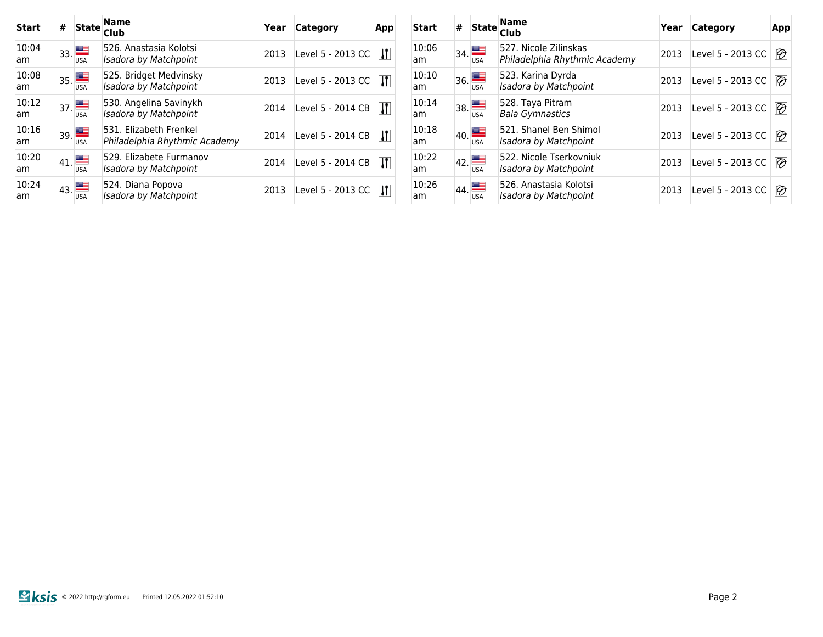| Start       | # | <b>State</b>                                               | <b>Name</b><br><b>Club</b>                              | Year | Category          | App         |
|-------------|---|------------------------------------------------------------|---------------------------------------------------------|------|-------------------|-------------|
| 10:04<br>am |   | $\mathbf{1}_{33}$<br><b>USA</b>                            | 526. Anastasia Kolotsi<br>Isadora by Matchpoint         | 2013 | Level 5 - 2013 CC | И           |
| 10:08<br>am |   | $\overline{\phantom{a}}_{35}$ $\blacksquare$<br><b>USA</b> | 525. Bridget Medvinsky<br><b>Isadora by Matchpoint</b>  | 2013 | Level 5 - 2013 CC | И           |
| 10:12<br>am |   | $\mathbf{I}_{37}$ $\blacksquare$<br><b>USA</b>             | 530. Angelina Savinykh<br>Isadora by Matchpoint         | 2014 | Level 5 - 2014 CB | $\mathbf l$ |
| 10:16<br>am |   | $\overline{39}$<br><b>USA</b>                              | 531. Elizabeth Frenkel<br>Philadelphia Rhythmic Academy | 2014 | Level 5 - 2014 CB | И           |
| 10:20<br>am |   | $\mathbf{q}_1$<br><b>USA</b>                               | 529. Elizabete Furmanov<br>Isadora by Matchpoint        | 2014 | Level 5 - 2014 CB | И           |
| 10:24<br>am |   | $\frac{1}{43}$<br><b>USA</b>                               | 524. Diana Popova<br>Isadora by Matchpoint              | 2013 | Level 5 - 2013 CC | И           |

| Start       | # | <b>State</b>                                 | <b>Name</b><br><b>Club</b>                             | Year | <b>Category</b>   | App                      |
|-------------|---|----------------------------------------------|--------------------------------------------------------|------|-------------------|--------------------------|
| 10:06<br>am |   | $\overline{\phantom{a}}_{34.}$<br><b>USA</b> | 527. Nicole Zilinskas<br>Philadelphia Rhythmic Academy | 2013 | Level 5 - 2013 CC | $\overline{\mathscr{D}}$ |
| 10:10<br>am |   | $\overline{36}$<br><b>USA</b>                | 523. Karina Dyrda<br>Isadora by Matchpoint             | 2013 | Level 5 - 2013 CC | $\overline{\mathscr{D}}$ |
| 10:14<br>am |   | $\overline{\phantom{a}}_{38.}$<br><b>USA</b> | 528. Taya Pitram<br><b>Bala Gymnastics</b>             | 2013 | Level 5 - 2013 CC | $\overline{\mathscr{D}}$ |
| 10:18<br>am |   | $\mathbf{q}_0$<br><b>USA</b>                 | 521. Shanel Ben Shimol<br>Isadora by Matchpoint        | 2013 | Level 5 - 2013 CC | $\overline{\mathscr{D}}$ |
| 10:22<br>am |   | 42.                                          | 522. Nicole Tserkovniuk<br>Isadora by Matchpoint       | 2013 | Level 5 - 2013 CC | $\overline{\mathscr{D}}$ |
| 10:26<br>am |   | 44.<br><b>USA</b>                            | 526. Anastasia Kolotsi<br><b>Isadora by Matchpoint</b> | 2013 | Level 5 - 2013 CC | $\otimes$                |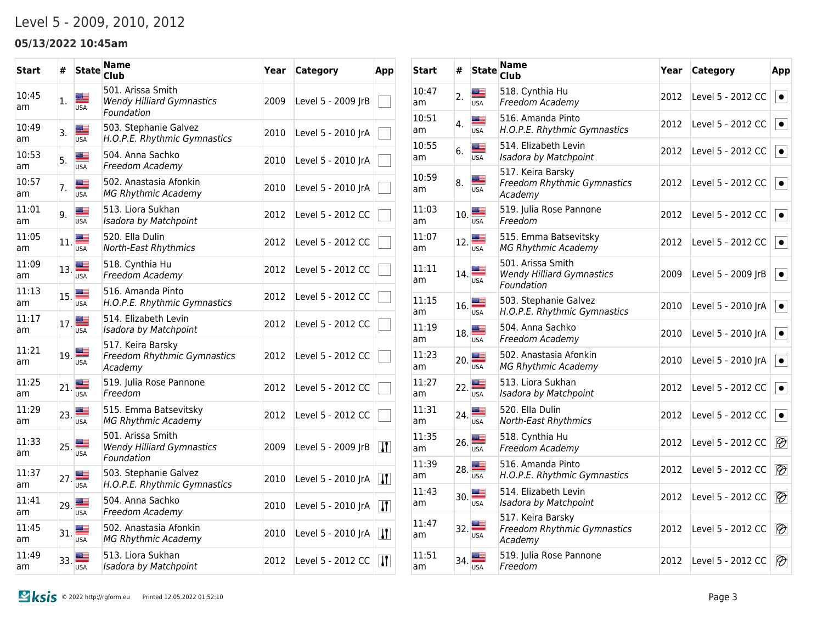## Level 5 - 2009, 2010, 2012

#### **05/13/2022 10:45am**

| <b>Start</b> | #                | <b>State</b>                 | Name<br>Club                                                        | Year | <b>Category</b>    | App                           |
|--------------|------------------|------------------------------|---------------------------------------------------------------------|------|--------------------|-------------------------------|
| 10:45<br>am  | 1.               | ▆▆<br><b>USA</b>             | 501. Arissa Smith<br><b>Wendy Hilliard Gymnastics</b><br>Foundation | 2009 | Level 5 - 2009 JrB |                               |
| 10:49<br>am  | 3.               | ≝<br><b>USA</b>              | 503. Stephanie Galvez<br>H.O.P.E. Rhythmic Gymnastics               | 2010 | Level 5 - 2010 JrA |                               |
| 10:53<br>am  | 5.               | ▆<br><b>USA</b>              | 504. Anna Sachko<br>Freedom Academy                                 | 2010 | Level 5 - 2010 JrA |                               |
| 10:57<br>am  | 7.               | ⋐<br><b>USA</b>              | 502. Anastasia Afonkin<br><b>MG Rhythmic Academy</b>                | 2010 | Level 5 - 2010 JrA |                               |
| 11:01<br>am  | 9.               | <b>USA</b>                   | 513. Liora Sukhan<br>Isadora by Matchpoint                          | 2012 | Level 5 - 2012 CC  |                               |
| 11:05<br>am  | 11.              | ▓▆<br>USA                    | 520. Ella Dulin<br>North-East Rhythmics                             | 2012 | Level 5 - 2012 CC  |                               |
| 11:09<br>am  | 13.              | a bir<br><b>USA</b>          | 518. Cynthia Hu<br>Freedom Academy                                  | 2012 | Level 5 - 2012 CC  |                               |
| 11:13<br>am  | 15.              | <b>USA</b>                   | 516. Amanda Pinto<br>H.O.P.E. Rhythmic Gymnastics                   | 2012 | Level 5 - 2012 CC  |                               |
| 11:17<br>am  | 17.              | ▩▬<br><b>USA</b>             | 514. Elizabeth Levin<br>Isadora by Matchpoint                       | 2012 | Level 5 - 2012 CC  |                               |
| 11:21<br>am  |                  | $19.$ $\frac{1}{\sqrt{15A}}$ | 517. Keira Barsky<br>Freedom Rhythmic Gymnastics<br>Academy         | 2012 | Level 5 - 2012 CC  |                               |
| 11:25<br>am  | 21.              | <b>USA</b>                   | 519. Julia Rose Pannone<br>Freedom                                  | 2012 | Level 5 - 2012 CC  |                               |
| 11:29<br>am  | 23.              | <b>USA</b>                   | 515. Emma Batsevitsky<br><b>MG Rhythmic Academy</b>                 | 2012 | Level 5 - 2012 CC  |                               |
| 11:33<br>am  | 25.              | <u> an</u><br><b>USA</b>     | 501. Arissa Smith<br><b>Wendy Hilliard Gymnastics</b><br>Foundation | 2009 | Level 5 - 2009 JrB | $\bf{H}$                      |
| 11:37<br>am  | 27.              | <b>USA</b>                   | 503. Stephanie Galvez<br>H.O.P.E. Rhythmic Gymnastics               | 2010 | Level 5 - 2010 JrA | $\bf{T}$                      |
| 11:41<br>am  | 29.              | <b>USA</b>                   | 504. Anna Sachko<br>Freedom Academy                                 | 2010 | Level 5 - 2010 JrA | $\mathbf{H}$                  |
| 11:45<br>am  | 31. <sup>E</sup> | <b>USA</b>                   | 502. Anastasia Afonkin<br><b>MG Rhythmic Academy</b>                | 2010 | Level 5 - 2010 JrA | $\vert \bm{\mathsf{H}} \vert$ |
| 11:49<br>am  | 33.              | <b>USA</b>                   | 513. Liora Sukhan<br>Isadora by Matchpoint                          | 2012 | Level 5 - 2012 CC  | $\vert \bm{\Pi} \vert$        |

| Start       | #   | <b>State</b>              | <b>Name</b><br><b>Club</b>                                          | Year | <b>Category</b>    | App                      |
|-------------|-----|---------------------------|---------------------------------------------------------------------|------|--------------------|--------------------------|
| 10:47<br>am | 2.  | æ<br><b>USA</b>           | 518. Cynthia Hu<br>Freedom Academy                                  | 2012 | Level 5 - 2012 CC  | $\bullet$                |
| 10:51<br>am | 4.  | <u> a l</u><br><b>USA</b> | 516. Amanda Pinto<br>H.O.P.E. Rhythmic Gymnastics                   | 2012 | Level 5 - 2012 CC  | $\bullet$                |
| 10:55<br>am | 6.  | ▆▆<br><b>USA</b>          | 514. Elizabeth Levin<br>Isadora by Matchpoint                       | 2012 | Level 5 - 2012 CC  | $\bullet$                |
| 10:59<br>am | 8.  | <b>USA</b>                | 517. Keira Barsky<br>Freedom Rhythmic Gymnastics<br>Academy         | 2012 | Level 5 - 2012 CC  | $\bullet$                |
| 11:03<br>am | 10. | USA                       | 519. Julia Rose Pannone<br>Freedom                                  | 2012 | Level 5 - 2012 CC  | $\bullet$                |
| 11:07<br>am | 12. | ≋≡<br><b>USA</b>          | 515. Emma Batsevitsky<br><b>MG Rhythmic Academy</b>                 | 2012 | Level 5 - 2012 CC  | $\bullet$                |
| 11:11<br>am | 14. | <b>USA</b>                | 501. Arissa Smith<br><b>Wendy Hilliard Gymnastics</b><br>Foundation | 2009 | Level 5 - 2009 JrB | $\bullet$                |
| 11:15<br>am | 16. | <b>USA</b>                | 503. Stephanie Galvez<br>H.O.P.E. Rhythmic Gymnastics               | 2010 | Level 5 - 2010 JrA | $\bullet$                |
| 11:19<br>am | 18. | ▇≣<br><b>USA</b>          | 504. Anna Sachko<br>Freedom Academy                                 | 2010 | Level 5 - 2010 JrA | $\bullet$                |
| 11:23<br>am | 20. | █<br><b>USA</b>           | 502. Anastasia Afonkin<br><b>MG Rhythmic Academy</b>                | 2010 | Level 5 - 2010 JrA | $\bullet$                |
| 11:27<br>am | 22. | ▄▁<br><b>USA</b>          | 513. Liora Sukhan<br>Isadora by Matchpoint                          | 2012 | Level 5 - 2012 CC  | $\bullet$                |
| 11:31<br>am | 24. | ▇<br><b>USA</b>           | 520. Ella Dulin<br>North-East Rhythmics                             | 2012 | Level 5 - 2012 CC  | $\bullet$                |
| 11:35<br>am | 26. | ▄▁<br><b>USA</b>          | 518. Cynthia Hu<br>Freedom Academy                                  | 2012 | Level 5 - 2012 CC  | $\overline{\mathscr{D}}$ |
| 11:39<br>am | 28. | ▇≣<br><b>USA</b>          | 516. Amanda Pinto<br>H.O.P.E. Rhythmic Gymnastics                   | 2012 | Level 5 - 2012 CC  | $\overline{\mathscr{D}}$ |
| 11:43<br>am | 30. | Æ<br><b>USA</b>           | 514. Elizabeth Levin<br>Isadora by Matchpoint                       | 2012 | Level 5 - 2012 CC  | $\overline{\mathscr{D}}$ |
| 11:47<br>am | 32. | <b>USA</b>                | 517. Keira Barsky<br>Freedom Rhythmic Gymnastics<br>Academy         | 2012 | Level 5 - 2012 CC  | $\overline{\mathscr{D}}$ |
| 11:51<br>am | 34. | USA                       | 519. Julia Rose Pannone<br>Freedom                                  | 2012 | Level 5 - 2012 CC  | $\mathcal{D}$            |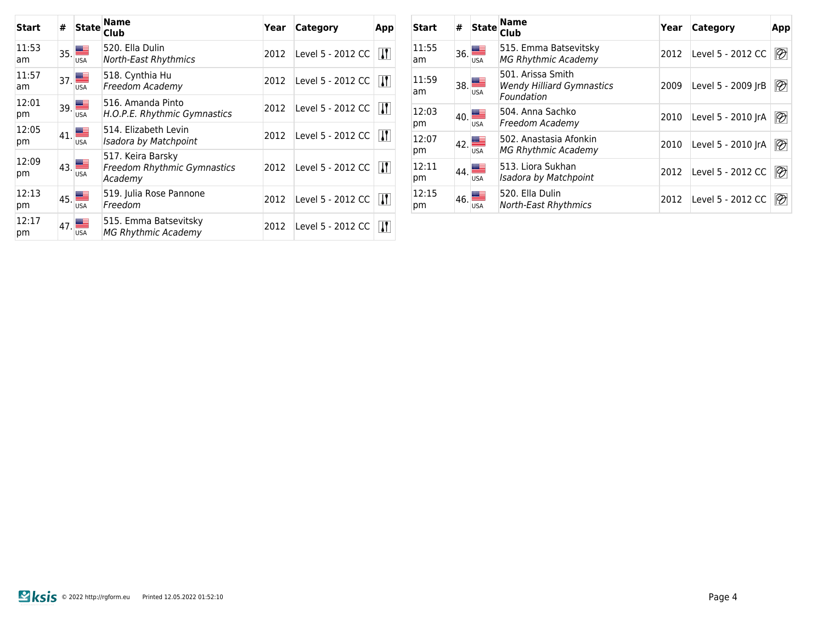| Start       | #             | <b>State</b>                                         | <b>Name</b><br>Club                                                | Year | Category          | App                   |
|-------------|---------------|------------------------------------------------------|--------------------------------------------------------------------|------|-------------------|-----------------------|
| 11:53<br>am |               | $\mathbf{I}_{35}$ $\blacksquare$<br><b>USA</b>       | 520. Ella Dulin<br>North-East Rhythmics                            | 2012 | Level 5 - 2012 CC | $\mathbf{\mathsf{N}}$ |
| 11:57<br>am |               | $\overline{\phantom{a}}_{37}$ $\equiv$<br><b>USA</b> | 518. Cynthia Hu<br>Freedom Academy                                 | 2012 | Level 5 - 2012 CC | W                     |
| 12:01<br>pm |               | $_{39}$ $\blacksquare$<br><b>USA</b>                 | 516. Amanda Pinto<br>H.O.P.E. Rhythmic Gymnastics                  | 2012 | Level 5 - 2012 CC | $\mathbf{\mathsf{N}}$ |
| 12:05<br>pm | 41.           | <b>USA</b>                                           | 514. Elizabeth Levin<br>Isadora by Matchpoint                      | 2012 | Level 5 - 2012 CC | W                     |
| 12:09<br>pm | $ 43. \equiv$ | <b>USA</b>                                           | 517. Keira Barsky<br><b>Freedom Rhythmic Gymnastics</b><br>Academy | 2012 | Level 5 - 2012 CC | $\mathbf{H}$          |
| 12:13<br>pm | 45.           | <b>USA</b>                                           | 519. Julia Rose Pannone<br>Freedom                                 | 2012 | Level 5 - 2012 CC | W                     |
| 12:17<br>рm | 47.           | <b>USA</b>                                           | 515. Emma Batsevitsky<br><b>MG Rhythmic Academy</b>                | 2012 | Level 5 - 2012 CC | $\mathbf{H}$          |

| Start       | # | <b>State</b>                                 | <b>Name</b><br>Club                                                 | Year | <b>Category</b>    | App                      |
|-------------|---|----------------------------------------------|---------------------------------------------------------------------|------|--------------------|--------------------------|
| 11:55<br>am |   | $\overline{\phantom{a}}_{36.}$<br><b>USA</b> | 515. Emma Batsevitsky<br><b>MG Rhythmic Academy</b>                 | 2012 | Level 5 - 2012 CC  | $\overline{\mathscr{D}}$ |
| 11:59<br>am |   | $\overline{38}$ $\blacksquare$<br><b>USA</b> | 501. Arissa Smith<br><b>Wendy Hilliard Gymnastics</b><br>Foundation | 2009 | Level 5 - 2009 JrB | $\overline{\mathscr{D}}$ |
| 12:03<br>pm |   | $\mathbf{q}_0$ $\blacksquare$<br><b>USA</b>  | 504. Anna Sachko<br>Freedom Academy                                 | 2010 | Level 5 - 2010 JrA | $\overline{\mathscr{D}}$ |
| 12:07<br>pm |   | 42.                                          | 502. Anastasia Afonkin<br><b>MG Rhythmic Academy</b>                | 2010 | Level 5 - 2010 JrA | $\overline{\mathscr{D}}$ |
| 12:11<br>pm |   | 144.<br><b>USA</b>                           | 513. Liora Sukhan<br>Isadora by Matchpoint                          | 2012 | Level 5 - 2012 CC  | $\circledR$              |
| 12:15<br>pm |   | $46 \blacksquare$<br><b>USA</b>              | 520. Ella Dulin<br>North-East Rhythmics                             | 2012 | Level 5 - 2012 CC  | $\vartheta$              |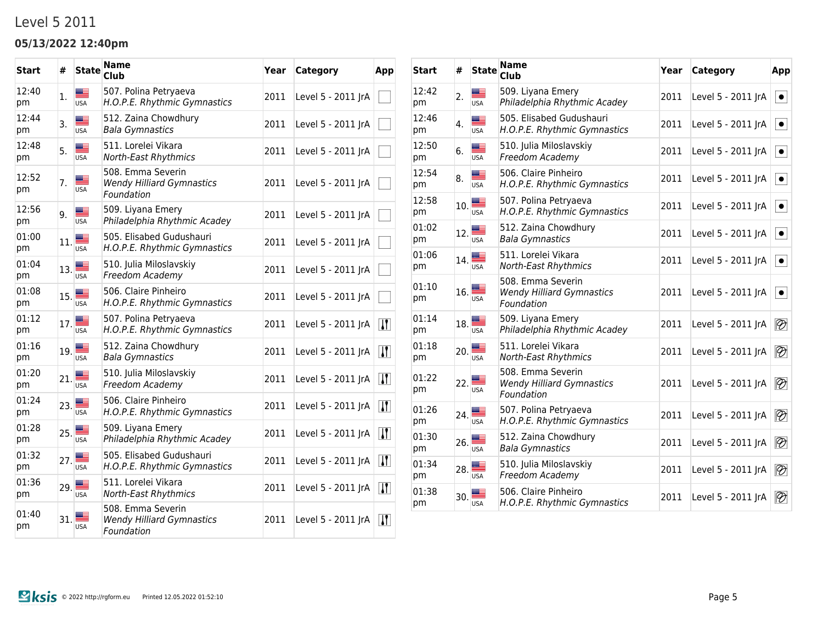### Level 5 2011

### **05/13/2022 12:40pm**

| <b>Start</b> | #   | <b>State</b>     | Name<br>Club                                                        | Year | Category           | App                         |
|--------------|-----|------------------|---------------------------------------------------------------------|------|--------------------|-----------------------------|
| 12:40<br>pm  | 1.  | ██<br><b>USA</b> | 507. Polina Petryaeva<br>H.O.P.E. Rhythmic Gymnastics               | 2011 | Level 5 - 2011 JrA |                             |
| 12:44<br>pm  | 3.  | ≝<br><b>USA</b>  | 512. Zaina Chowdhury<br><b>Bala Gymnastics</b>                      | 2011 | Level 5 - 2011 JrA |                             |
| 12:48<br>pm  | 5.  | æ<br><b>USA</b>  | 511. Lorelei Vikara<br><b>North-East Rhythmics</b>                  | 2011 | Level 5 - 2011 JrA |                             |
| 12:52<br>pm  | 7.  | <b>USA</b>       | 508. Emma Severin<br><b>Wendy Hilliard Gymnastics</b><br>Foundation | 2011 | Level 5 - 2011 JrA |                             |
| 12:56<br>pm  | 9.  | Æ<br><b>USA</b>  | 509. Liyana Emery<br>Philadelphia Rhythmic Acadey                   | 2011 | Level 5 - 2011 JrA |                             |
| 01:00<br>pm  | 11. | Æ<br><b>USA</b>  | 505. Elisabed Gudushauri<br>H.O.P.E. Rhythmic Gymnastics            | 2011 | Level 5 - 2011 JrA |                             |
| 01:04<br>pm  | 13. | <b>USA</b>       | 510. Julia Miloslavskiy<br>Freedom Academy                          | 2011 | Level 5 - 2011 JrA |                             |
| 01:08<br>pm  | 15. | <b>USA</b>       | 506. Claire Pinheiro<br>H.O.P.E. Rhythmic Gymnastics                | 2011 | Level 5 - 2011 JrA |                             |
| 01:12<br>pm  | 17. | ළ<br><b>USA</b>  | 507. Polina Petryaeva<br>H.O.P.E. Rhythmic Gymnastics               | 2011 | Level 5 - 2011 JrA | $\left  \mathbf{1}\right $  |
| 01:16<br>pm  | 19. | ▩▁<br><b>USA</b> | 512. Zaina Chowdhury<br><b>Bala Gymnastics</b>                      | 2011 | Level 5 - 2011 JrA | $\left  \mathbf{J} \right $ |
| 01:20<br>pm  | 21. | <b>USA</b>       | 510. Julia Miloslavskiy<br>Freedom Academy                          | 2011 | Level 5 - 2011 JrA | $\vert \bm{\Pi} \vert$      |
| 01:24<br>pm  | 23. | ≝<br><b>USA</b>  | 506. Claire Pinheiro<br>H.O.P.E. Rhythmic Gymnastics                | 2011 | Level 5 - 2011 JrA | $\vert \bm{\Pi} \vert$      |
| 01:28<br>pm  | 25. | ▄▆<br><b>USA</b> | 509. Liyana Emery<br>Philadelphia Rhythmic Acadey                   | 2011 | Level 5 - 2011 JrA | $\vert \bm{\Pi} \vert$      |
| 01:32<br>pm  | 27. | ▄▆<br><b>USA</b> | 505. Elisabed Gudushauri<br>H.O.P.E. Rhythmic Gymnastics            | 2011 | Level 5 - 2011 JrA | $\mathbf{H}$                |
| 01:36<br>pm  | 29. | <b>USA</b>       | 511. Lorelei Vikara<br>North-East Rhythmics                         | 2011 | Level 5 - 2011 JrA | $\left  \mathbf{1}\right $  |
| 01:40<br>pm  | 31. | <b>USA</b>       | 508. Emma Severin<br><b>Wendy Hilliard Gymnastics</b><br>Foundation | 2011 | Level 5 - 2011 JrA | $\mathbf{u}$                |

| Start       | #   | <b>State</b>     | <b>Name</b><br><b>Club</b>                                          | Year | <b>Category</b>    | App                      |
|-------------|-----|------------------|---------------------------------------------------------------------|------|--------------------|--------------------------|
| 12:42<br>pm | 2.  | ▆▆<br><b>USA</b> | 509. Liyana Emery<br>Philadelphia Rhythmic Acadey                   | 2011 | Level 5 - 2011 JrA | $\bullet$                |
| 12:46<br>pm | 4.  | ▆▆<br><b>USA</b> | 505. Elisabed Gudushauri<br>H.O.P.E. Rhythmic Gymnastics            | 2011 | Level 5 - 2011 JrA | $\bullet$                |
| 12:50<br>pm | 6.  | ▩▬<br><b>USA</b> | 510. Julia Miloslavskiy<br>Freedom Academy                          | 2011 | Level 5 - 2011 JrA | $\bullet$                |
| 12:54<br>pm | 8.  | <b>USA</b>       | 506. Claire Pinheiro<br>H.O.P.E. Rhythmic Gymnastics                | 2011 | Level 5 - 2011 JrA | $\bullet$                |
| 12:58<br>pm | 10. | ▆▆<br><b>USA</b> | 507. Polina Petryaeva<br>H.O.P.E. Rhythmic Gymnastics               | 2011 | Level 5 - 2011 JrA | $\bullet$                |
| 01:02<br>pm | 12. | <b>USA</b>       | 512. Zaina Chowdhury<br><b>Bala Gymnastics</b>                      | 2011 | Level 5 - 2011 JrA | $\bullet$                |
| 01:06<br>рm | 14. | ▀<br><b>USA</b>  | 511. Lorelei Vikara<br>North-East Rhythmics                         | 2011 | Level 5 - 2011 JrA | $\bullet$                |
| 01:10<br>pm | 16. | <b>USA</b>       | 508. Emma Severin<br><b>Wendy Hilliard Gymnastics</b><br>Foundation | 2011 | Level 5 - 2011 JrA | $\bullet$                |
| 01:14<br>pm | 18. | ▩▔<br><b>USA</b> | 509. Liyana Emery<br>Philadelphia Rhythmic Acadey                   | 2011 | Level 5 - 2011 JrA | $\overline{\mathscr{D}}$ |
| 01:18<br>pm | 20. | <b>USA</b>       | 511. Lorelei Vikara<br><b>North-East Rhythmics</b>                  | 2011 | Level 5 - 2011 JrA | $\overline{\mathscr{D}}$ |
| 01:22<br>pm | 22. | <b>USA</b>       | 508. Emma Severin<br><b>Wendy Hilliard Gymnastics</b><br>Foundation | 2011 | Level 5 - 2011 JrA | $\overline{\mathscr{D}}$ |
| 01:26<br>pm | 24. | <b>USA</b>       | 507. Polina Petryaeva<br>H.O.P.E. Rhythmic Gymnastics               | 2011 | Level 5 - 2011 JrA | $\overline{\mathscr{D}}$ |
| 01:30<br>pm | 26. | <b>USA</b>       | 512. Zaina Chowdhury<br><b>Bala Gymnastics</b>                      | 2011 | Level 5 - 2011 JrA | $\overline{\mathscr{D}}$ |
| 01:34<br>pm | 28. | <b>USA</b>       | 510. Julia Miloslavskiy<br>Freedom Academy                          | 2011 | Level 5 - 2011 JrA | $\overline{\mathscr{D}}$ |
| 01:38<br>pm | 30. | <b>USA</b>       | 506. Claire Pinheiro<br>H.O.P.E. Rhythmic Gymnastics                | 2011 | Level 5 - 2011 JrA | $\overline{\mathscr{D}}$ |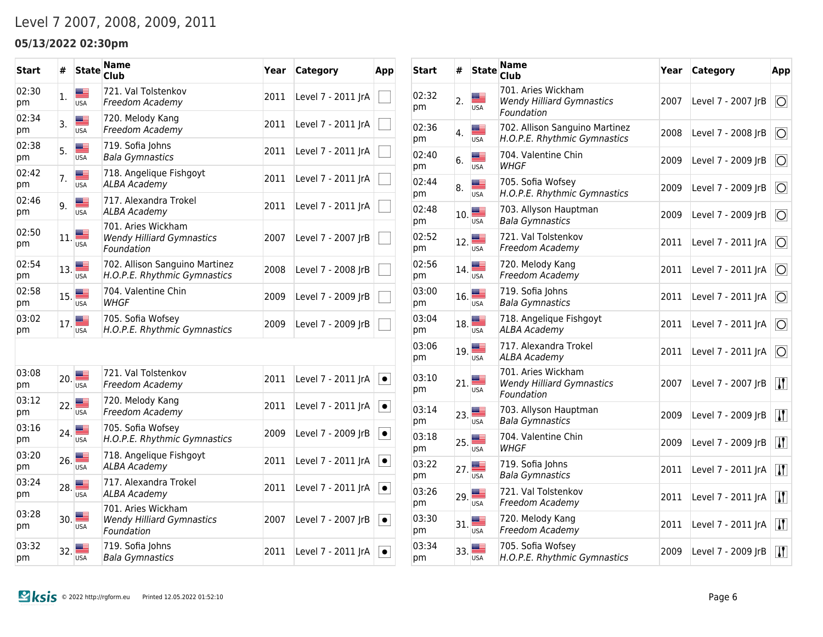## Level 7 2007, 2008, 2009, 2011

### **05/13/2022 02:30pm**

| Start       | #   | <b>State</b>                                                                | <b>Name</b><br>Club                                                  | Year | Category           | App                   |
|-------------|-----|-----------------------------------------------------------------------------|----------------------------------------------------------------------|------|--------------------|-----------------------|
| 02:30<br>pm | 1.  | ≝<br><b>USA</b>                                                             | 721. Val Tolstenkov<br>Freedom Academy                               | 2011 | Level 7 - 2011 JrA |                       |
| 02:34<br>pm | 3.  | ▆▆<br><b>USA</b>                                                            | 720. Melody Kang<br>Freedom Academy                                  | 2011 | Level 7 - 2011 JrA |                       |
| 02:38<br>pm | 5.  | ≝<br><b>USA</b>                                                             | 719. Sofia Johns<br><b>Bala Gymnastics</b>                           | 2011 | Level 7 - 2011 JrA |                       |
| 02:42<br>pm | 7.  | ▆▆<br><b>USA</b>                                                            | 718. Angelique Fishgoyt<br><b>ALBA Academy</b>                       | 2011 | Level 7 - 2011 JrA |                       |
| 02:46<br>pm | 9.  | E.<br><b>USA</b>                                                            | 717. Alexandra Trokel<br><b>ALBA Academy</b>                         | 2011 | Level 7 - 2011 JrA |                       |
| 02:50<br>pm | 11. | <b>USA</b>                                                                  | 701. Aries Wickham<br><b>Wendy Hilliard Gymnastics</b><br>Foundation | 2007 | Level 7 - 2007 JrB |                       |
| 02:54<br>pm | 13. | <b>USA</b>                                                                  | 702. Allison Sanguino Martinez<br>H.O.P.E. Rhythmic Gymnastics       | 2008 | Level 7 - 2008 JrB |                       |
| 02:58<br>pm | 15. | ≝<br><b>USA</b>                                                             | 704. Valentine Chin<br><b>WHGF</b>                                   | 2009 | Level 7 - 2009 JrB |                       |
| 03:02<br>pm | 17. | ≝<br><b>USA</b>                                                             | 705. Sofia Wofsey<br>H.O.P.E. Rhythmic Gymnastics                    | 2009 | Level 7 - 2009 JrB |                       |
|             |     |                                                                             |                                                                      |      |                    |                       |
| 03:08<br>pm | 20. | $\begin{array}{c}\n\hline\n\text{Hence} \\ \hline\n\text{USA}\n\end{array}$ | 721. Val Tolstenkov<br>Freedom Academy                               | 2011 | Level 7 - 2011 JrA | $\vert \bullet \vert$ |
| 03:12<br>pm | 22. | <b>USA</b>                                                                  | 720. Melody Kang<br>Freedom Academy                                  | 2011 | Level 7 - 2011 JrA | $\bullet$             |
| 03:16<br>pm | 24. | <b>USA</b>                                                                  | 705. Sofia Wofsey<br>H.O.P.E. Rhythmic Gymnastics                    | 2009 | Level 7 - 2009 JrB | $\bullet$             |
| 03:20<br>pm | 26. | <b>USA</b>                                                                  | 718. Angelique Fishgoyt<br><b>ALBA Academy</b>                       | 2011 | Level 7 - 2011 JrA | $\bullet$             |
| 03:24<br>pm | 28. | <b>USA</b>                                                                  | 717. Alexandra Trokel<br><b>ALBA Academy</b>                         | 2011 | Level 7 - 2011 JrA | $\bullet$             |
| 03:28<br>pm | 30. | <b>USA</b>                                                                  | 701. Aries Wickham<br><b>Wendy Hilliard Gymnastics</b><br>Foundation | 2007 | Level 7 - 2007 JrB | $\bullet$             |
| 03:32<br>pm | 32. | <b>USA</b>                                                                  | 719. Sofia Johns<br><b>Bala Gymnastics</b>                           | 2011 | Level 7 - 2011 JrA | $\bullet$             |

| <b>Start</b> | #   | <b>State</b>     | <b>Name</b><br>Club                                                  | Year | Category           | App                         |
|--------------|-----|------------------|----------------------------------------------------------------------|------|--------------------|-----------------------------|
| 02:32<br>pm  | 2.  | <b>USA</b>       | 701. Aries Wickham<br><b>Wendy Hilliard Gymnastics</b><br>Foundation | 2007 | Level 7 - 2007 JrB | $\circ$                     |
| 02:36<br>pm  | 4.  | ▆▆<br><b>USA</b> | 702. Allison Sanguino Martinez<br>H.O.P.E. Rhythmic Gymnastics       | 2008 | Level 7 - 2008 JrB | O                           |
| 02:40<br>рm  | 6.  | ▆▆<br><b>USA</b> | 704. Valentine Chin<br>WHGF                                          | 2009 | Level 7 - 2009 JrB | O                           |
| 02:44<br>pm  | 8.  | ▆▆<br><b>USA</b> | 705. Sofia Wofsey<br>H.O.P.E. Rhythmic Gymnastics                    | 2009 | Level 7 - 2009 JrB | O                           |
| 02:48<br>pm  | 10. | ▆▆<br><b>USA</b> | 703. Allyson Hauptman<br><b>Bala Gymnastics</b>                      | 2009 | Level 7 - 2009 JrB | $\overline{O}$              |
| 02:52<br>pm  | 12. | ▆▆<br><b>USA</b> | 721. Val Tolstenkov<br>Freedom Academy                               | 2011 | Level 7 - 2011 JrA | $\overline{O}$              |
| 02:56<br>рm  | 14. | ▆▆<br><b>USA</b> | 720. Melody Kang<br>Freedom Academy                                  | 2011 | Level 7 - 2011 JrA | $\overline{O}$              |
| 03:00<br>рm  | 16. | █▉<br><b>USA</b> | 719. Sofia Johns<br><b>Bala Gymnastics</b>                           | 2011 | Level 7 - 2011 JrA | $\circ$                     |
| 03:04<br>рm  | 18. | ≝<br><b>USA</b>  | 718. Angelique Fishgoyt<br><b>ALBA Academy</b>                       | 2011 | Level 7 - 2011 JrA | $\circ$                     |
| 03:06<br>рm  | 19. | █▉<br><b>USA</b> | 717. Alexandra Trokel<br><b>ALBA Academy</b>                         | 2011 | Level 7 - 2011 JrA | $\overline{O}$              |
| 03:10<br>рm  | 21. | <b>USA</b>       | 701. Aries Wickham<br><b>Wendy Hilliard Gymnastics</b><br>Foundation | 2007 | Level 7 - 2007 JrB | $\overline{H}$              |
| 03:14<br>pm  | 23. | <b>USA</b>       | 703. Allyson Hauptman<br><b>Bala Gymnastics</b>                      | 2009 | Level 7 - 2009 JrB | $\left  \mathbf{J} \right $ |
| 03:18<br>pm  | 25. | <b>USA</b>       | 704. Valentine Chin<br>WHGF                                          | 2009 | Level 7 - 2009 JrB | $\left  \mathbf{J} \right $ |
| 03:22<br>pm  | 27. | ▀<br><b>USA</b>  | 719. Sofia Johns<br><b>Bala Gymnastics</b>                           | 2011 | Level 7 - 2011 JrA | $\vert \mathbf{J} \vert$    |
| 03:26<br>pm  | 29. | ▀<br><b>USA</b>  | 721. Val Tolstenkov<br>Freedom Academy                               | 2011 | Level 7 - 2011 JrA | $\vert \mathbf{J} \vert$    |
| 03:30<br>pm  | 31. | <b>USA</b>       | 720. Melody Kang<br>Freedom Academy                                  | 2011 | Level 7 - 2011 JrA | $\vert \mathbf{J} \vert$    |
| 03:34<br>pm  | 33. | <b>USA</b>       | 705. Sofia Wofsey<br>H.O.P.E. Rhythmic Gymnastics                    | 2009 | Level 7 - 2009 JrB | $\vert \bm{\Pi} \vert$      |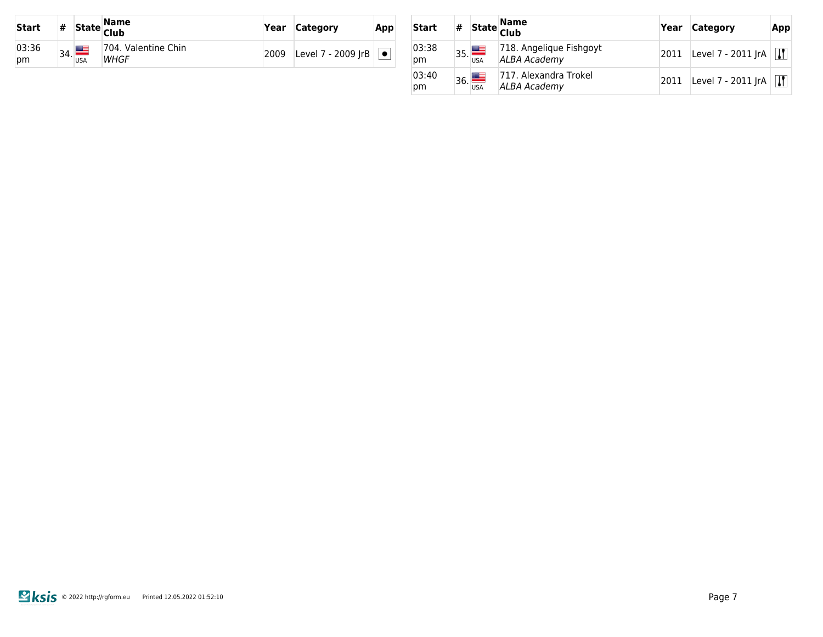| <b>Start</b> | #   |                 | State <mark>Name</mark><br> Club | Year | <b>Category</b>                  | App |
|--------------|-----|-----------------|----------------------------------|------|----------------------------------|-----|
| 03:36<br>pm  | 34. | ▙<br><b>USA</b> | 704. Valentine Chin<br>WHGF      | 2009 | Level 7 - 2009 JrB $  \bullet  $ |     |

| Start       | # |     | State Name<br> Club                            | Year | <b>Category</b>    | App          |
|-------------|---|-----|------------------------------------------------|------|--------------------|--------------|
| 03:38<br>рm |   | 35. | 718. Angelique Fishgoyt<br><b>ALBA Academy</b> | 2011 | Level 7 - 2011 JrA | $\mathbf{u}$ |
| 03:40<br>рm |   | 36. | 717. Alexandra Trokel<br>ALBA Academy          | 2011 | Level 7 - 2011 JrA | $\mathbf{R}$ |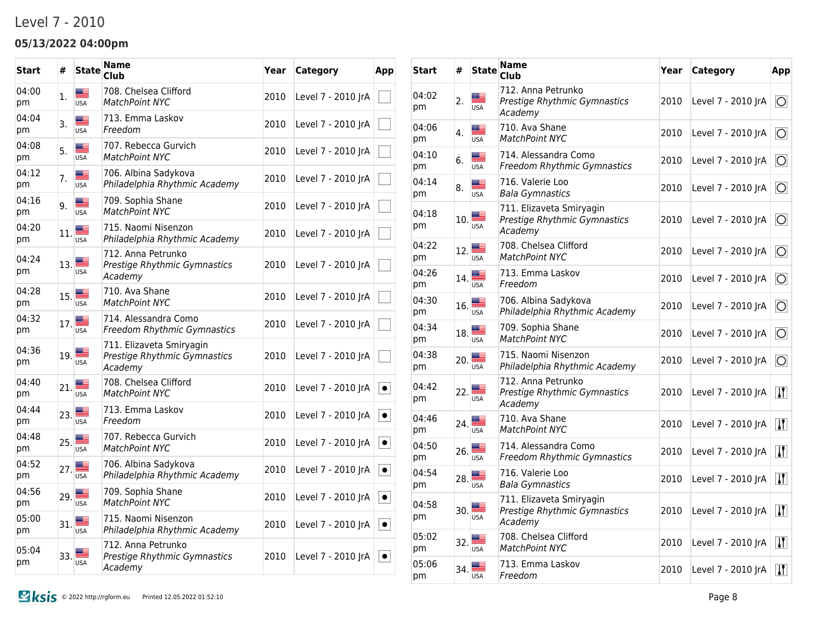### Level 7 - 2010

### **05/13/2022 04:00pm**

| <b>Start</b> | #   | <b>State</b>              | Name<br>Club                                                        | Year | Category           | App       |
|--------------|-----|---------------------------|---------------------------------------------------------------------|------|--------------------|-----------|
| 04:00<br>pm  | 1.  | █▆<br><b>USA</b>          | 708. Chelsea Clifford<br><b>MatchPoint NYC</b>                      | 2010 | Level 7 - 2010 JrA |           |
| 04:04<br>pm  | 3.  | ▓≣<br><b>USA</b>          | 713. Emma Laskov<br>Freedom                                         | 2010 | Level 7 - 2010 JrA |           |
| 04:08<br>pm  | 5.  | <u>m –</u><br><b>USA</b>  | 707. Rebecca Gurvich<br><b>MatchPoint NYC</b>                       | 2010 | Level 7 - 2010 JrA |           |
| 04:12<br>pm  | 7.  | ▄▄<br><b>USA</b>          | 706. Albina Sadykova<br>Philadelphia Rhythmic Academy               | 2010 | Level 7 - 2010 JrA |           |
| 04:16<br>pm  | 9.  | <u> a l</u><br><b>USA</b> | 709. Sophia Shane<br>MatchPoint NYC                                 | 2010 | Level 7 - 2010 JrA |           |
| 04:20<br>pm  | 11. | <b>USA</b>                | 715. Naomi Nisenzon<br>Philadelphia Rhythmic Academy                | 2010 | Level 7 - 2010 JrA |           |
| 04:24<br>рm  | 13. | <b>USA</b>                | 712. Anna Petrunko<br>Prestige Rhythmic Gymnastics<br>Academy       | 2010 | Level 7 - 2010 JrA |           |
| 04:28<br>pm  | 15. | a –<br><b>USA</b>         | 710. Ava Shane<br>MatchPoint NYC                                    | 2010 | Level 7 - 2010 JrA |           |
| 04:32<br>pm  | 17. | an -<br><b>USA</b>        | 714. Alessandra Como<br>Freedom Rhythmic Gymnastics                 | 2010 | Level 7 - 2010 JrA |           |
| 04:36<br>pm  | 19. | <b>USA</b>                | 711. Elizaveta Smiryagin<br>Prestige Rhythmic Gymnastics<br>Academy | 2010 | Level 7 - 2010 JrA |           |
| 04:40<br>pm  | 21. | <b>USA</b>                | 708. Chelsea Clifford<br><b>MatchPoint NYC</b>                      | 2010 | Level 7 - 2010 JrA | $\bullet$ |
| 04:44<br>pm  | 23. | ▆▆<br><b>USA</b>          | 713. Emma Laskov<br>Freedom                                         | 2010 | Level 7 - 2010 JrA | $\bullet$ |
| 04:48<br>pm  | 25. | ≝<br><b>USA</b>           | 707. Rebecca Gurvich<br><b>MatchPoint NYC</b>                       | 2010 | Level 7 - 2010 JrA | $\bullet$ |
| 04:52<br>pm  | 27. | ▀<br><b>USA</b>           | 706. Albina Sadykova<br>Philadelphia Rhythmic Academy               | 2010 | Level 7 - 2010 JrA | $\bullet$ |
| 04:56<br>pm  | 29. | <u>m =</u><br><b>USA</b>  | 709. Sophia Shane<br>MatchPoint NYC                                 | 2010 | Level 7 - 2010 JrA | $\bullet$ |
| 05:00<br>pm  | 31. | ▇<br><b>USA</b>           | 715. Naomi Nisenzon<br>Philadelphia Rhythmic Academy                | 2010 | Level 7 - 2010 JrA | $\bullet$ |
| 05:04<br>pm  | 33. | <b>USA</b>                | 712. Anna Petrunko<br>Prestige Rhythmic Gymnastics<br>Academy       | 2010 | Level 7 - 2010 IrA | $\bullet$ |

| <b>Start</b> | #   | <b>State</b>      | <b>Name</b><br><b>Club</b>                                          | Year | Category           | App                                           |
|--------------|-----|-------------------|---------------------------------------------------------------------|------|--------------------|-----------------------------------------------|
| 04:02<br>рm  | 2.  | <b>USA</b>        | 712. Anna Petrunko<br>Prestige Rhythmic Gymnastics<br>Academy       | 2010 | Level 7 - 2010 JrA | $\circ$                                       |
| 04:06<br>рm  | 4.  | æ<br>USA          | 710. Ava Shane<br><b>MatchPoint NYC</b>                             | 2010 | Level 7 - 2010 JrA | 10                                            |
| 04:10<br>pm  | 6.  | a e<br><b>USA</b> | 714. Alessandra Como<br>Freedom Rhythmic Gymnastics                 | 2010 | Level 7 - 2010 JrA | $\circ$                                       |
| 04:14<br>pm  | 8.  | æ<br><b>USA</b>   | 716. Valerie Loo<br><b>Bala Gymnastics</b>                          | 2010 | Level 7 - 2010 JrA | $\circ$                                       |
| 04:18<br>рm  | 10. | <b>USA</b>        | 711. Elizaveta Smiryagin<br>Prestige Rhythmic Gymnastics<br>Academy | 2010 | Level 7 - 2010 JrA | <b>O</b>                                      |
| 04:22<br>pm  | 12. | <b>USA</b>        | 708. Chelsea Clifford<br><b>MatchPoint NYC</b>                      | 2010 | Level 7 - 2010 JrA | O                                             |
| 04:26<br>рm  | 14. | █<br><b>USA</b>   | 713. Emma Laskov<br>Freedom                                         | 2010 | Level 7 - 2010 JrA | $\circ$                                       |
| 04:30<br>pm  | 16. | ▀<br><b>USA</b>   | 706. Albina Sadykova<br>Philadelphia Rhythmic Academy               | 2010 | Level 7 - 2010 JrA | 10                                            |
| 04:34<br>pm  | 18. | <b>USA</b>        | 709. Sophia Shane<br><b>MatchPoint NYC</b>                          | 2010 | Level 7 - 2010 JrA | O                                             |
| 04:38<br>pm  | 20. | <b>USA</b>        | 715. Naomi Nisenzon<br>Philadelphia Rhythmic Academy                | 2010 | Level 7 - 2010 JrA | ЮI                                            |
| 04:42<br>рm  | 22. | <b>USA</b>        | 712. Anna Petrunko<br>Prestige Rhythmic Gymnastics<br>Academy       | 2010 | Level 7 - 2010 JrA | $\vert \mathbf{J} \vert$                      |
| 04:46<br>рm  | 24. | USA               | 710. Ava Shane<br><b>MatchPoint NYC</b>                             | 2010 | Level 7 - 2010 JrA | $\mathbf{H}$                                  |
| 04:50<br>рm  | 26. | <b>USA</b>        | 714. Alessandra Como<br>Freedom Rhythmic Gymnastics                 | 2010 | Level 7 - 2010 JrA | $\mathbf{H}$                                  |
| 04:54<br>рm  | 28. | ▀<br>USA          | 716. Valerie Loo<br><b>Bala Gymnastics</b>                          | 2010 | Level 7 - 2010 JrA | $\overline{W}$                                |
| 04:58<br>pm  | 30. | ≝<br>USA          | 711. Elizaveta Smiryagin<br>Prestige Rhythmic Gymnastics<br>Academy | 2010 | Level 7 - 2010 JrA | $\overline{\mathbf{H}}$                       |
| 05:02<br>pm  | 32. | LISA              | 708. Chelsea Clifford<br>MatchPoint NYC                             | 2010 | Level 7 - 2010 JrA | $\left  \mathbf{u} \right $                   |
| 05:06<br>pm  | 34. | <b>USA</b>        | 713. Emma Laskov<br>Freedom                                         | 2010 | Level 7 - 2010 JrA | $\vert \bm{\mathsf{I}} \bm{\mathsf{I}} \vert$ |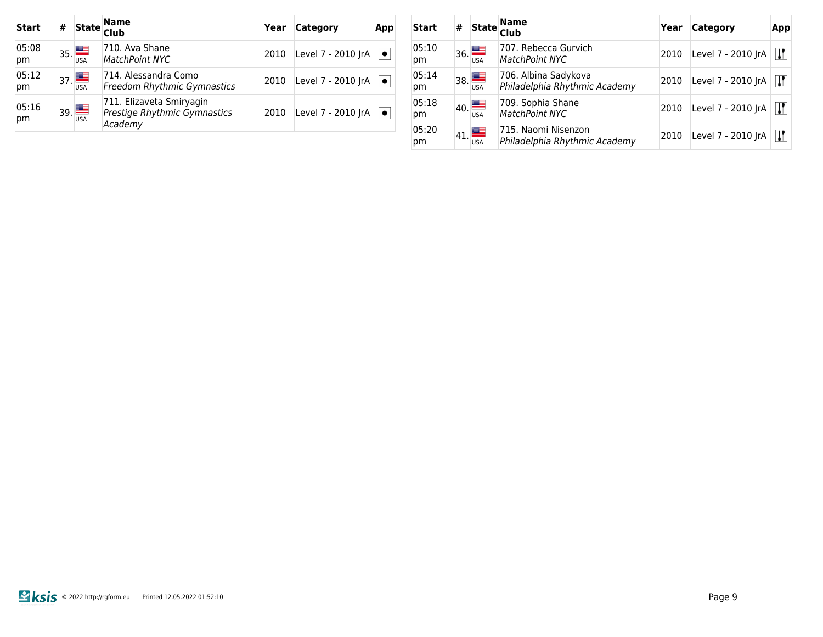| <b>Start</b> | # | <b>State</b>          | <b>Name</b><br><b>Club</b>                                          | Year | <b>Category</b>    | <b>App</b> |
|--------------|---|-----------------------|---------------------------------------------------------------------|------|--------------------|------------|
| 05:08<br>pm  |   | $_{35.}$<br>USA       | 710. Ava Shane<br><b>MatchPoint NYC</b>                             | 2010 | Level 7 - 2010 JrA | $\bullet$  |
| 05:12<br>pm  |   | $_{37}$<br><b>USA</b> | 714. Alessandra Como<br><b>Freedom Rhythmic Gymnastics</b>          | 2010 | Level 7 - 2010 JrA | $\bullet$  |
| 05:16<br>pm  |   | 39.                   | 711. Elizaveta Smiryagin<br>Prestige Rhythmic Gymnastics<br>Academy | 2010 | Level 7 - 2010 JrA | $\bullet$  |

| Start       | # | <b>State</b>           | <b>Name</b><br><b>Club</b>                            | Year | <b>Category</b>    | App                       |
|-------------|---|------------------------|-------------------------------------------------------|------|--------------------|---------------------------|
| 05:10<br>pm |   | $_{36.}$<br><b>USA</b> | 707. Rebecca Gurvich<br>MatchPoint NYC                | 2010 | Level 7 - 2010 JrA | $\bf{I}$                  |
| 05:14<br>рm |   | $_{38.}$<br><b>USA</b> | 706. Albina Sadykova<br>Philadelphia Rhythmic Academy | 2010 | Level 7 - 2010 JrA | $\bf{I}$                  |
| 05:18<br>рm |   | $_{40}$<br><b>USA</b>  | 709. Sophia Shane<br>MatchPoint NYC                   | 2010 | Level 7 - 2010 JrA | $\boldsymbol{\mathsf{N}}$ |
| 05:20<br>рm |   | $_{41.}$<br><b>USA</b> | 715. Naomi Nisenzon<br>Philadelphia Rhythmic Academy  | 2010 | Level 7 - 2010 JrA | $\overline{\mathbf{I}}$   |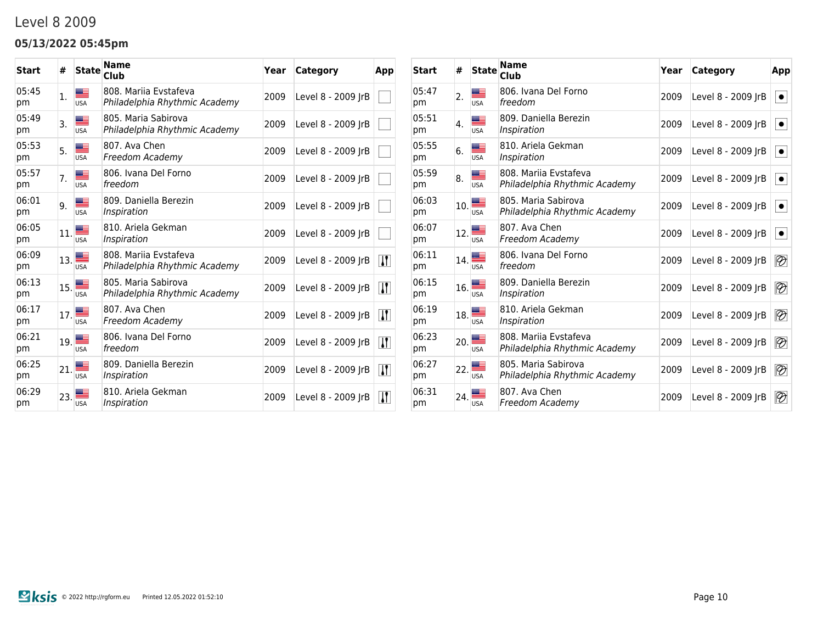### Level 8 2009

### **05/13/2022 05:45pm**

| <b>Start</b> | #   | <b>State</b> | <b>Name</b><br>Club                                    | Year | Category           | App                     |
|--------------|-----|--------------|--------------------------------------------------------|------|--------------------|-------------------------|
| 05:45<br>pm  | 1.  | USA          | 808. Marija Evstafeva<br>Philadelphia Rhythmic Academy | 2009 | Level 8 - 2009 JrB |                         |
| 05:49<br>pm  | 3.  | <b>USA</b>   | 805. Maria Sabirova<br>Philadelphia Rhythmic Academy   | 2009 | Level 8 - 2009 JrB |                         |
| 05:53<br>pm  | 5.  | <b>USA</b>   | 807. Ava Chen<br>Freedom Academy                       | 2009 | Level 8 - 2009 JrB |                         |
| 05:57<br>pm  | 7.  | <b>USA</b>   | 806. Ivana Del Forno<br>freedom                        | 2009 | Level 8 - 2009 JrB |                         |
| 06:01<br>pm  | 9.  | <b>USA</b>   | 809. Daniella Berezin<br>Inspiration                   | 2009 | Level 8 - 2009 IrB |                         |
| 06:05<br>pm  | 11. | <b>USA</b>   | 810. Ariela Gekman<br>Inspiration                      | 2009 | Level 8 - 2009 JrB |                         |
| 06:09<br>pm  | 13. | <b>USA</b>   | 808. Marija Evstafeva<br>Philadelphia Rhythmic Academy | 2009 | Level 8 - 2009 JrB | $\mathbf{I}$            |
| 06:13<br>pm  | 15. | <b>USA</b>   | 805. Maria Sabirova<br>Philadelphia Rhythmic Academy   | 2009 | Level 8 - 2009 JrB | $\mathbf{I}$            |
| 06:17<br>pm  | 17. | <b>USA</b>   | 807. Ava Chen<br>Freedom Academy                       | 2009 | Level 8 - 2009 JrB | $\bf{I}$                |
| 06:21<br>pm  | 19. | <b>USA</b>   | 806. Ivana Del Forno<br>freedom                        | 2009 | Level 8 - 2009 JrB | $\overline{\mathbf{H}}$ |
| 06:25<br>pm  | 21. | <b>USA</b>   | 809. Daniella Berezin<br>Inspiration                   | 2009 | Level 8 - 2009 JrB | $\bf{J}$                |
| 06:29<br>pm  | 23. | <b>USA</b>   | 810. Ariela Gekman<br>Inspiration                      | 2009 | Level 8 - 2009 JrB | $\bf{J}$                |

| <b>Start</b> | #   | <b>State</b> | <b>Name</b><br>Club                                    | Year | Category           | App                      |
|--------------|-----|--------------|--------------------------------------------------------|------|--------------------|--------------------------|
| 05:47<br>pm  | 2.  | <b>USA</b>   | 806. Ivana Del Forno<br>freedom                        | 2009 | Level 8 - 2009 JrB | $\bullet$                |
| 05:51<br>pm  | 4.  | <b>USA</b>   | 809. Daniella Berezin<br>Inspiration                   | 2009 | Level 8 - 2009 JrB | $\bullet$                |
| 05:55<br>pm  | 6.  | <b>USA</b>   | 810. Ariela Gekman<br>Inspiration                      | 2009 | Level 8 - 2009 JrB | $\bullet$                |
| 05:59<br>pm  | 8.  | <b>USA</b>   | 808. Marija Evstafeva<br>Philadelphia Rhythmic Academy | 2009 | Level 8 - 2009 JrB | $\bullet$                |
| 06:03<br>pm  | 10. | <b>USA</b>   | 805. Maria Sabirova<br>Philadelphia Rhythmic Academy   | 2009 | Level 8 - 2009 JrB | $\bullet$                |
| 06:07<br>pm  | 12. | <b>USA</b>   | 807. Ava Chen<br>Freedom Academy                       | 2009 | Level 8 - 2009 JrB | $\bullet$                |
| 06:11<br>pm  | 14. | <b>USA</b>   | 806. Ivana Del Forno<br>freedom                        | 2009 | Level 8 - 2009 JrB | $\overline{\mathscr{D}}$ |
| 06:15<br>pm  | 16. | <b>USA</b>   | 809. Daniella Berezin<br>Inspiration                   | 2009 | Level 8 - 2009 JrB | $\overline{\mathscr{D}}$ |
| 06:19<br>pm  | 18. | <b>USA</b>   | 810. Ariela Gekman<br>Inspiration                      | 2009 | Level 8 - 2009 JrB | $\overline{\mathscr{D}}$ |
| 06:23<br>pm  | 20. | <b>USA</b>   | 808. Marija Evstafeva<br>Philadelphia Rhythmic Academy | 2009 | Level 8 - 2009 JrB | $\overline{\mathscr{D}}$ |
| 06:27<br>pm  | 22. | <b>USA</b>   | 805. Maria Sabirova<br>Philadelphia Rhythmic Academy   | 2009 | Level 8 - 2009 JrB | $\overline{\mathscr{D}}$ |
| 06:31<br>pm  | 24. | <b>USA</b>   | 807. Ava Chen<br>Freedom Academy                       | 2009 | Level 8 - 2009 JrB | $\overline{\mathscr{D}}$ |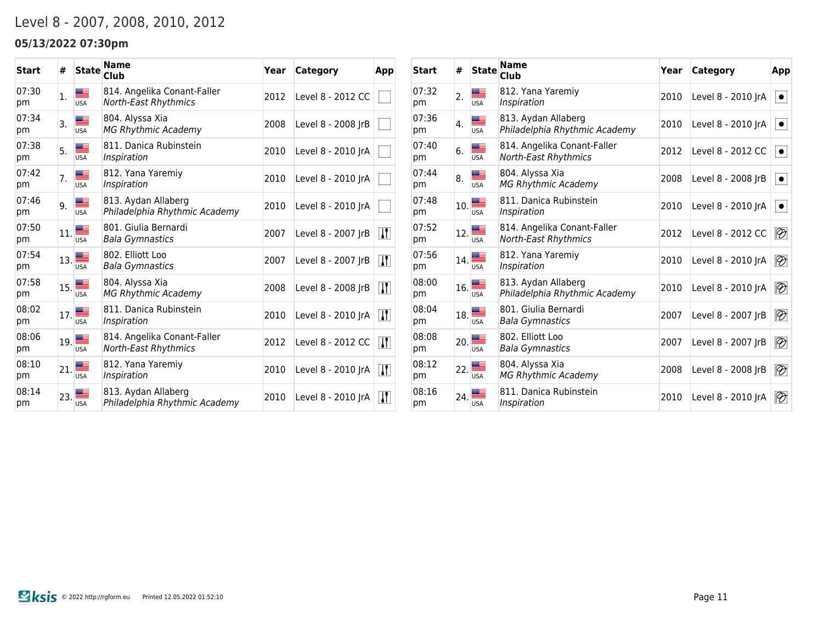## Level 8 - 2007, 2008, 2010, 2012

### **05/13/2022 07:30pm**

| <b>Start</b> | #   | <b>State</b>    | <b>Name</b><br><b>Club</b>                                 | Year | Category           | App                    |
|--------------|-----|-----------------|------------------------------------------------------------|------|--------------------|------------------------|
| 07:30<br>pm  | 1.  | <b>USA</b>      | 814. Angelika Conant-Faller<br>North-East Rhythmics        | 2012 | Level 8 - 2012 CC  |                        |
| 07:34<br>pm  | 3.  | æ<br><b>USA</b> | 804. Alyssa Xia<br><b>MG Rhythmic Academy</b>              | 2008 | Level 8 - 2008 JrB |                        |
| 07:38<br>pm  | 5.  | <b>USA</b>      | 811. Danica Rubinstein<br>Inspiration                      | 2010 | Level 8 - 2010 JrA |                        |
| 07:42<br>pm  | 7.  | <b>USA</b>      | 812. Yana Yaremiy<br>Inspiration                           | 2010 | Level 8 - 2010 JrA |                        |
| 07:46<br>pm  | 9.  | <b>USA</b>      | 813. Aydan Allaberg<br>Philadelphia Rhythmic Academy       | 2010 | Level 8 - 2010 JrA |                        |
| 07:50<br>pm  | 11. | <b>USA</b>      | 801. Giulia Bernardi<br><b>Bala Gymnastics</b>             | 2007 | Level 8 - 2007 IrB | $\mathbf{I}$           |
| 07:54<br>pm  | 13. | <b>USA</b>      | 802. Elliott Loo<br><b>Bala Gymnastics</b>                 | 2007 | Level 8 - 2007 JrB | $\mathbf{H}$           |
| 07:58<br>pm  | 15. | <b>USA</b>      | 804. Alyssa Xia<br><b>MG Rhythmic Academy</b>              | 2008 | Level 8 - 2008 JrB | $\bf{H}$               |
| 08:02<br>pm  | 17. | <b>USA</b>      | 811. Danica Rubinstein<br>Inspiration                      | 2010 | Level 8 - 2010 JrA | $\vert \bm{\Pi} \vert$ |
| 08:06<br>pm  | 19. | <b>USA</b>      | 814. Angelika Conant-Faller<br><b>North-East Rhythmics</b> | 2012 | Level 8 - 2012 CC  | $\mathbf{I}$           |
| 08:10<br>pm  | 21. | <b>USA</b>      | 812. Yana Yaremiy<br>Inspiration                           | 2010 | Level 8 - 2010 JrA | $\bf{H}$               |
| 08:14<br>pm  | 23. | <b>USA</b>      | 813. Aydan Allaberg<br>Philadelphia Rhythmic Academy       | 2010 | Level 8 - 2010 IrA | $\mathbf{H}$           |

| <b>Start</b> | #   | <b>State</b> | <b>Name</b><br>Club                                        | Year | Category           | App                      |
|--------------|-----|--------------|------------------------------------------------------------|------|--------------------|--------------------------|
| 07:32<br>pm  | 2.  | <b>USA</b>   | 812. Yana Yaremiy<br>Inspiration                           | 2010 | Level 8 - 2010 JrA | $\bullet$                |
| 07:36<br>pm  | 4.  | <b>USA</b>   | 813. Aydan Allaberg<br>Philadelphia Rhythmic Academy       | 2010 | Level 8 - 2010 JrA | $\bullet$                |
| 07:40<br>pm  | 6.  | <b>USA</b>   | 814. Angelika Conant-Faller<br><b>North-East Rhythmics</b> | 2012 | Level 8 - 2012 CC  | $\bullet$                |
| 07:44<br>pm  | 8.  | <b>USA</b>   | 804. Alyssa Xia<br><b>MG Rhythmic Academy</b>              | 2008 | Level 8 - 2008 JrB | $\bullet$                |
| 07:48<br>pm  | 10. | <b>USA</b>   | 811. Danica Rubinstein<br>Inspiration                      | 2010 | Level 8 - 2010 JrA | $\bullet$                |
| 07:52<br>pm  | 12. | <b>USA</b>   | 814. Angelika Conant-Faller<br><b>North-East Rhythmics</b> | 2012 | Level 8 - 2012 CC  | $\overline{\mathscr{D}}$ |
| 07:56<br>pm  | 14. | <b>USA</b>   | 812. Yana Yaremiy<br>Inspiration                           | 2010 | Level 8 - 2010 JrA | $\overline{\mathscr{D}}$ |
| 08:00<br>pm  | 16. | <b>USA</b>   | 813. Aydan Allaberg<br>Philadelphia Rhythmic Academy       | 2010 | Level 8 - 2010 JrA | $\overline{\mathscr{D}}$ |
| 08:04<br>pm  | 18. | <b>USA</b>   | 801. Giulia Bernardi<br><b>Bala Gymnastics</b>             | 2007 | Level 8 - 2007 JrB | $\overline{\mathscr{D}}$ |
| 08:08<br>pm  | 20. | <b>USA</b>   | 802. Elliott Loo<br>Bala Gymnastics                        | 2007 | Level 8 - 2007 JrB | $\overline{\mathscr{D}}$ |
| 08:12<br>pm  | 22. | <b>USA</b>   | 804. Alyssa Xia<br><b>MG Rhythmic Academy</b>              | 2008 | Level 8 - 2008 JrB | $\overline{\mathscr{D}}$ |
| 08:16<br>pm  | 24. | <b>USA</b>   | 811. Danica Rubinstein<br>Inspiration                      | 2010 | Level 8 - 2010 JrA | $\overline{\mathscr{D}}$ |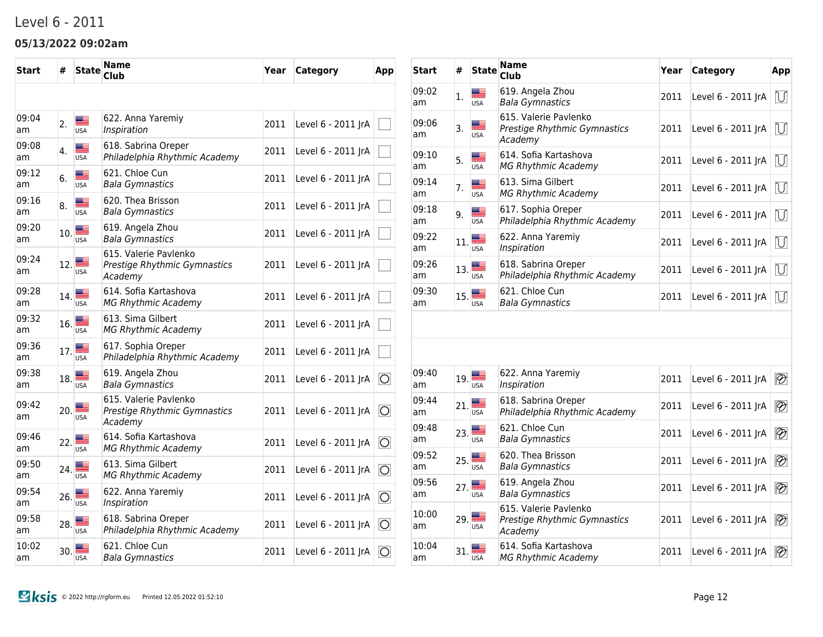### Level 6 - 2011

### **05/13/2022 09:02am**

| <b>Start</b> | #   | <b>State</b>             | Name<br>Club                                                     | Year | <b>Category</b>    | App                    |
|--------------|-----|--------------------------|------------------------------------------------------------------|------|--------------------|------------------------|
|              |     |                          |                                                                  |      |                    |                        |
| 09:04<br>am  | 2.  | <u>m –</u><br><b>USA</b> | 622. Anna Yaremiy<br>Inspiration                                 | 2011 | Level 6 - 2011 JrA |                        |
| 09:08<br>am  | 4.  | ▄▆<br><b>USA</b>         | 618. Sabrina Oreper<br>Philadelphia Rhythmic Academy             | 2011 | Level 6 - 2011 JrA |                        |
| 09:12<br>am  | 6.  | <u>a a</u><br><b>USA</b> | 621. Chloe Cun<br><b>Bala Gymnastics</b>                         | 2011 | Level 6 - 2011 JrA |                        |
| 09:16<br>am  | 8.  | æ<br><b>USA</b>          | 620. Thea Brisson<br><b>Bala Gymnastics</b>                      | 2011 | Level 6 - 2011 JrA |                        |
| 09:20<br>am  | 10. | <b>USA</b>               | 619. Angela Zhou<br><b>Bala Gymnastics</b>                       | 2011 | Level 6 - 2011 JrA |                        |
| 09:24<br>am  | 12. | <u>m =</u><br><b>USA</b> | 615. Valerie Pavlenko<br>Prestige Rhythmic Gymnastics<br>Academy | 2011 | Level 6 - 2011 JrA |                        |
| 09:28<br>am  | 14. | <b>USA</b>               | 614. Sofia Kartashova<br><b>MG Rhythmic Academy</b>              | 2011 | Level 6 - 2011 JrA |                        |
| 09:32<br>am  | 16. | <b>USA</b>               | 613. Sima Gilbert<br><b>MG Rhythmic Academy</b>                  | 2011 | Level 6 - 2011 JrA |                        |
| 09:36<br>am  | 17. | <b>USA</b>               | 617. Sophia Oreper<br>Philadelphia Rhythmic Academy              | 2011 | Level 6 - 2011 JrA |                        |
| 09:38<br>am  | 18. | <b>USA</b>               | 619. Angela Zhou<br><b>Bala Gymnastics</b>                       | 2011 | Level 6 - 2011 JrA | $\circ$                |
| 09:42<br>am  |     | 20.<br><b>USA</b>        | 615. Valerie Pavlenko<br>Prestige Rhythmic Gymnastics<br>Academy | 2011 | Level 6 - 2011 JrA | $\circ$                |
| 09:46<br>am  | 22. | ≝<br><b>USA</b>          | 614. Sofia Kartashova<br><b>MG Rhythmic Academy</b>              | 2011 | Level 6 - 2011 JrA | $\overline{\bigcirc}$  |
| 09:50<br>am  | 24. | <b>USA</b>               | 613. Sima Gilbert<br>MG Rhythmic Academy                         | 2011 | Level 6 - 2011 JrA | $\circ$                |
| 09:54<br>am  | 26. | ≋≡<br><b>USA</b>         | 622. Anna Yaremiy<br>Inspiration                                 | 2011 | Level 6 - 2011 JrA | $\circ$                |
| 09:58<br>am  | 28. | <b>USA</b>               | 618. Sabrina Oreper<br>Philadelphia Rhythmic Academy             | 2011 | Level 6 - 2011 JrA | $\vert \bigcirc \vert$ |
| 10:02<br>am  | 30. | <b>USA</b>               | 621. Chloe Cun<br>Bala Gymnastics                                | 2011 | Level 6 - 2011 JrA | $\circ$                |

| Start       | #   | <b>State</b>      | Name<br>Club                                                     | Year | Category           | App                      |
|-------------|-----|-------------------|------------------------------------------------------------------|------|--------------------|--------------------------|
| 09:02<br>am | 1.  | ≝<br><b>USA</b>   | 619. Angela Zhou<br><b>Bala Gymnastics</b>                       | 2011 | Level 6 - 2011 JrA | $\mathbb U$              |
| 09:06<br>am | 3.  | ▇≡<br><b>USA</b>  | 615. Valerie Pavlenko<br>Prestige Rhythmic Gymnastics<br>Academy | 2011 | Level 6 - 2011 JrA | $\bigcup$                |
| 09:10<br>am | 5.  | ▓≡<br><b>USA</b>  | 614. Sofia Kartashova<br><b>MG Rhythmic Academy</b>              | 2011 | Level 6 - 2011 JrA | $\bigcup$                |
| 09:14<br>am | 7.  | æ<br><b>USA</b>   | 613. Sima Gilbert<br><b>MG Rhythmic Academy</b>                  | 2011 | Level 6 - 2011 JrA | $\bigcup$                |
| 09:18<br>am | 9.  | ▀<br><b>USA</b>   | 617. Sophia Oreper<br>Philadelphia Rhythmic Academy              | 2011 | Level 6 - 2011 JrA | $\cup$                   |
| 09:22<br>am | 11. | <b>USA</b>        | 622. Anna Yaremiy<br>Inspiration                                 | 2011 | Level 6 - 2011 JrA | $\cup$                   |
| 09:26<br>am | 13. | <b>USA</b>        | 618. Sabrina Oreper<br>Philadelphia Rhythmic Academy             | 2011 | Level 6 - 2011 JrA | $\bigcup$                |
| 09:30<br>am | 15. | <b>USA</b>        | 621. Chloe Cun<br><b>Bala Gymnastics</b>                         | 2011 | Level 6 - 2011 JrA | $\bigcup$                |
|             |     |                   |                                                                  |      |                    |                          |
|             |     |                   |                                                                  |      |                    |                          |
| 09:40<br>am | 19. | USA               | 622. Anna Yaremiy<br>Inspiration                                 | 2011 | Level 6 - 2011 JrA | $\overline{\mathscr{D}}$ |
| 09:44<br>am | 21. | USA               | 618. Sabrina Oreper<br>Philadelphia Rhythmic Academy             | 2011 | Level 6 - 2011 JrA | $\overline{\mathscr{D}}$ |
| 09:48<br>am | 23. | USA               | 621. Chloe Cun<br><b>Bala Gymnastics</b>                         | 2011 | Level 6 - 2011 JrA | $\overline{\mathscr{D}}$ |
| 09:52<br>am | 25. | <b>USA</b>        | 620. Thea Brisson<br><b>Bala Gymnastics</b>                      | 2011 | Level 6 - 2011 JrA | $\overline{\mathscr{D}}$ |
| 09:56<br>am |     | 27.<br><b>USA</b> | 619. Angela Zhou<br><b>Bala Gymnastics</b>                       | 2011 | Level 6 - 2011 JrA | $\overline{\mathscr{D}}$ |
| 10:00<br>am | 29. | <b>USA</b>        | 615. Valerie Pavlenko<br>Prestige Rhythmic Gymnastics<br>Academy | 2011 | Level 6 - 2011 JrA | $\overline{\mathscr{D}}$ |
| 10:04<br>am | 31. | <b>USA</b>        | 614. Sofia Kartashova<br><b>MG Rhythmic Academy</b>              | 2011 | Level 6 - 2011 JrA | $\overline{\mathscr{D}}$ |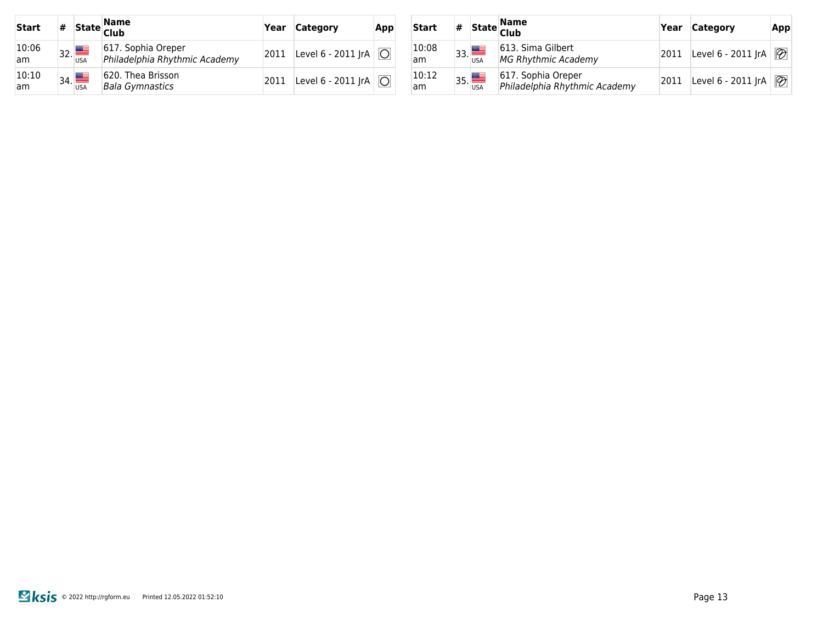| <b>Start</b> | # |                       | State <mark>Name</mark><br> Club                    | Year | <b>Category</b>                   | App |
|--------------|---|-----------------------|-----------------------------------------------------|------|-----------------------------------|-----|
| 10:06<br>am. |   | $_{32}$<br><b>USA</b> | 617. Sophia Oreper<br>Philadelphia Rhythmic Academy | 2011 | Level 6 - 2011 JrA $ O $          |     |
| 10:10<br>am. |   | 34.                   | 620. Thea Brisson<br><b>Bala Gymnastics</b>         | 2011 | Level 6 - 2011 JrA $\overline{O}$ |     |

| Start       | # |     | State Name<br> Club                                 | Year | <b>Category</b>    | App                      |
|-------------|---|-----|-----------------------------------------------------|------|--------------------|--------------------------|
| 10:08<br>am |   | 33. | 613. Sima Gilbert<br><b>MG Rhythmic Academy</b>     | 2011 | Level 6 - 2011 JrA | $\mathcal{P}$            |
| 10:12<br>am |   | 35. | 617. Sophia Oreper<br>Philadelphia Rhythmic Academy | 2011 | Level 6 - 2011 JrA | $\overline{\mathscr{D}}$ |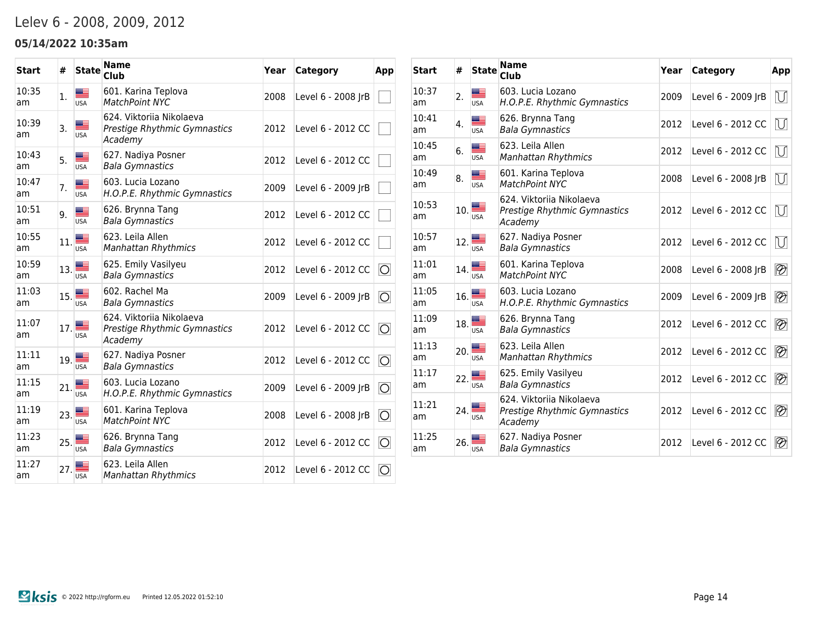## Lelev 6 - 2008, 2009, 2012

### **05/14/2022 10:35am**

| <b>Start</b> | #   | <b>State</b>     | <b>Name</b><br><b>Club</b>                                          | Year | Category           | App            |
|--------------|-----|------------------|---------------------------------------------------------------------|------|--------------------|----------------|
| 10:35<br>am  | 1.  | ▓▆<br><b>USA</b> | 601. Karina Teplova<br><b>MatchPoint NYC</b>                        | 2008 | Level 6 - 2008 JrB |                |
| 10:39<br>am  | 3.  | <b>USA</b>       | 624. Viktorija Nikolaeva<br>Prestige Rhythmic Gymnastics<br>Academy | 2012 | Level 6 - 2012 CC  |                |
| 10:43<br>am  | 5.  | <b>USA</b>       | 627. Nadiya Posner<br><b>Bala Gymnastics</b>                        | 2012 | Level 6 - 2012 CC  |                |
| 10:47<br>am  | 7.  | Æ<br><b>USA</b>  | 603. Lucia Lozano<br>H.O.P.E. Rhythmic Gymnastics                   | 2009 | Level 6 - 2009 JrB |                |
| 10:51<br>am  | 9.  | <b>USA</b>       | 626. Brynna Tang<br><b>Bala Gymnastics</b>                          | 2012 | Level 6 - 2012 CC  |                |
| 10:55<br>am  | 11. | ▄≡<br><b>USA</b> | 623. Leila Allen<br><b>Manhattan Rhythmics</b>                      | 2012 | Level 6 - 2012 CC  |                |
| 10:59<br>am  | 13. | <b>USA</b>       | 625. Emily Vasilyeu<br><b>Bala Gymnastics</b>                       | 2012 | Level 6 - 2012 CC  | $\overline{O}$ |
| 11:03<br>am  | 15. | <b>USA</b>       | 602. Rachel Ma<br><b>Bala Gymnastics</b>                            | 2009 | Level 6 - 2009 JrB | $\circ$        |
| 11:07<br>am  | 17. | <b>USA</b>       | 624. Viktorija Nikolaeva<br>Prestige Rhythmic Gymnastics<br>Academy | 2012 | Level 6 - 2012 CC  | $\overline{O}$ |
| 11:11<br>am  | 19. | <b>USA</b>       | 627. Nadiya Posner<br><b>Bala Gymnastics</b>                        | 2012 | Level 6 - 2012 CC  | $\overline{O}$ |
| 11:15<br>am  | 21. | ▩▬<br><b>USA</b> | 603. Lucia Lozano<br>H.O.P.E. Rhythmic Gymnastics                   | 2009 | Level 6 - 2009 JrB | O              |
| 11:19<br>am  | 23. | <b>USA</b>       | 601. Karina Teplova<br><b>MatchPoint NYC</b>                        | 2008 | Level 6 - 2008 JrB | $\circ$        |
| 11:23<br>am  | 25. | æ<br><b>USA</b>  | 626. Brynna Tang<br><b>Bala Gymnastics</b>                          | 2012 | Level 6 - 2012 CC  | $\overline{O}$ |
| 11:27<br>am  | 27. | <b>USA</b>       | 623. Leila Allen<br><b>Manhattan Rhythmics</b>                      | 2012 | Level 6 - 2012 CC  | 10             |

| <b>Start</b> | #   | <b>State</b>             | <b>Name</b><br><b>Club</b>                                          | Year | <b>Category</b>    | App                      |
|--------------|-----|--------------------------|---------------------------------------------------------------------|------|--------------------|--------------------------|
| 10:37<br>am  | 2.  | <b>USA</b>               | 603. Lucia Lozano<br>H.O.P.E. Rhythmic Gymnastics                   | 2009 | Level 6 - 2009 JrB | M                        |
| 10:41<br>am  | 4.  | <b>USA</b>               | 626. Brynna Tang<br><b>Bala Gymnastics</b>                          | 2012 | Level 6 - 2012 CC  | $\overline{U}$           |
| 10:45<br>am  | 6.  | <b>USA</b>               | 623. Leila Allen<br><b>Manhattan Rhythmics</b>                      | 2012 | Level 6 - 2012 CC  | $\overline{U}$           |
| 10:49<br>am  | 8.  | <b>USA</b>               | 601. Karina Teplova<br><b>MatchPoint NYC</b>                        | 2008 | Level 6 - 2008 JrB | $\mathbb U$              |
| 10:53<br>am  | 10. | <b>USA</b>               | 624. Viktorija Nikolaeva<br>Prestige Rhythmic Gymnastics<br>Academy | 2012 | Level 6 - 2012 CC  | $\cup$                   |
| 10:57<br>am  | 12. | <b>USA</b>               | 627. Nadiya Posner<br>Bala Gymnastics                               | 2012 | Level 6 - 2012 CC  | $\overline{U}$           |
| 11:01<br>am  | 14. | <b>USA</b>               | 601. Karina Teplova<br><b>MatchPoint NYC</b>                        | 2008 | Level 6 - 2008 JrB | $\overline{\mathscr{D}}$ |
| 11:05<br>am  | 16. | $\frac{1}{\mathsf{USA}}$ | 603. Lucia Lozano<br>H.O.P.E. Rhythmic Gymnastics                   | 2009 | Level 6 - 2009 JrB | $\overline{\mathscr{D}}$ |
| 11:09<br>am  | 18. | ▩▀<br><b>USA</b>         | 626. Brynna Tang<br><b>Bala Gymnastics</b>                          | 2012 | Level 6 - 2012 CC  | $\overline{\mathscr{D}}$ |
| 11:13<br>am  | 20. | <b>USA</b>               | 623. Leila Allen<br><b>Manhattan Rhythmics</b>                      | 2012 | Level 6 - 2012 CC  | $\overline{\mathscr{D}}$ |
| 11:17<br>am  | 22. | <b>USA</b>               | 625. Emily Vasilyeu<br><b>Bala Gymnastics</b>                       | 2012 | Level 6 - 2012 CC  | $\overline{\mathscr{D}}$ |
| 11:21<br>am  | 24. | <b>USA</b>               | 624. Viktorija Nikolaeva<br>Prestige Rhythmic Gymnastics<br>Academy | 2012 | Level 6 - 2012 CC  | $\overline{\mathscr{D}}$ |
| 11:25<br>am  | 26. | <b>USA</b>               | 627. Nadiya Posner<br><b>Bala Gymnastics</b>                        | 2012 | Level 6 - 2012 CC  | $\overline{\mathscr{D}}$ |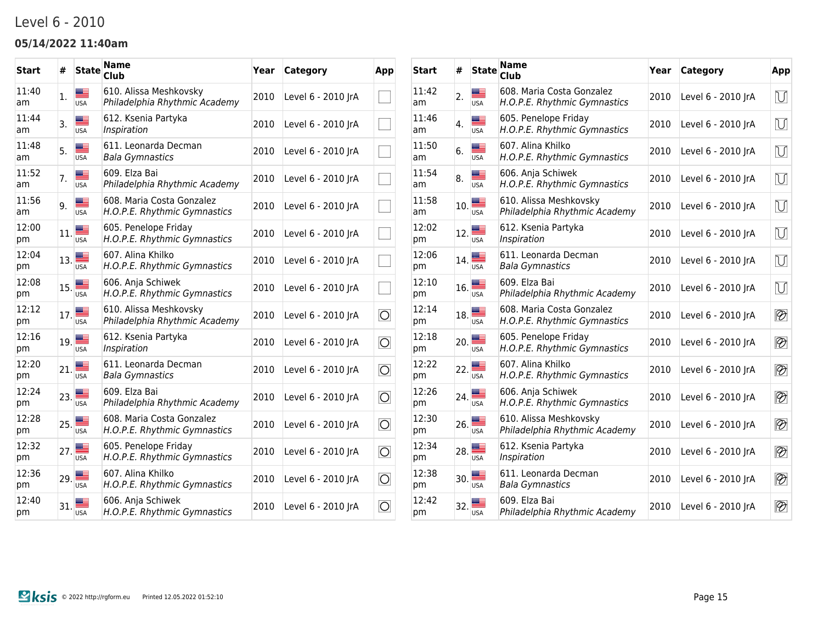### Level 6 - 2010

#### **05/14/2022 11:40am**

| <b>Start</b> | #   | <b>State</b>     | Name<br>Club                                              | Year | Category           | App                    |
|--------------|-----|------------------|-----------------------------------------------------------|------|--------------------|------------------------|
| 11:40<br>am  | 1.  | ▆▆<br><b>USA</b> | 610. Alissa Meshkovsky<br>Philadelphia Rhythmic Academy   | 2010 | Level 6 - 2010 JrA |                        |
| 11:44<br>am  | 3.  | ▓≡<br><b>USA</b> | 612. Ksenia Partyka<br>Inspiration                        | 2010 | Level 6 - 2010 JrA |                        |
| 11:48<br>am  | 5.  | <b>USA</b>       | 611. Leonarda Decman<br><b>Bala Gymnastics</b>            | 2010 | Level 6 - 2010 JrA |                        |
| 11:52<br>am  | 7.  | <b>USA</b>       | 609. Elza Bai<br>Philadelphia Rhythmic Academy            | 2010 | Level 6 - 2010 JrA |                        |
| 11:56<br>am  | 9.  | <b>USA</b>       | 608. Maria Costa Gonzalez<br>H.O.P.E. Rhythmic Gymnastics | 2010 | Level 6 - 2010 JrA |                        |
| 12:00<br>pm  | 11. | ≝<br><b>USA</b>  | 605. Penelope Friday<br>H.O.P.E. Rhythmic Gymnastics      | 2010 | Level 6 - 2010 JrA |                        |
| 12:04<br>pm  | 13. | <b>USA</b>       | 607. Alina Khilko<br>H.O.P.E. Rhythmic Gymnastics         | 2010 | Level 6 - 2010 JrA |                        |
| 12:08<br>pm  | 15. | <b>USA</b>       | 606. Anja Schiwek<br>H.O.P.E. Rhythmic Gymnastics         | 2010 | Level 6 - 2010 JrA |                        |
| 12:12<br>pm  | 17. | æ<br><b>USA</b>  | 610. Alissa Meshkovsky<br>Philadelphia Rhythmic Academy   | 2010 | Level 6 - 2010 JrA | $\overline{\circ}$     |
| 12:16<br>pm  | 19. | <b>USA</b>       | 612. Ksenia Partyka<br>Inspiration                        | 2010 | Level 6 - 2010 JrA | $\overline{\circ}$     |
| 12:20<br>pm  | 21. | <b>USA</b>       | 611. Leonarda Decman<br><b>Bala Gymnastics</b>            | 2010 | Level 6 - 2010 JrA | $\overline{\circ}$     |
| 12:24<br>pm  | 23. | <b>USA</b>       | 609. Elza Bai<br>Philadelphia Rhythmic Academy            | 2010 | Level 6 - 2010 JrA | $\vert \bigcirc \vert$ |
| 12:28<br>pm  | 25. | <b>USA</b>       | 608. Maria Costa Gonzalez<br>H.O.P.E. Rhythmic Gymnastics | 2010 | Level 6 - 2010 JrA | $\overline{\circ}$     |
| 12:32<br>pm  | 27. | <b>USA</b>       | 605. Penelope Friday<br>H.O.P.E. Rhythmic Gymnastics      | 2010 | Level 6 - 2010 JrA | $\overline{\bigcirc}$  |
| 12:36<br>pm  | 29. | <b>USA</b>       | 607. Alina Khilko<br>H.O.P.E. Rhythmic Gymnastics         | 2010 | Level 6 - 2010 JrA | $\vert \bigcirc \vert$ |
| 12:40<br>pm  | 31. | <b>USA</b>       | 606. Anja Schiwek<br>H.O.P.E. Rhythmic Gymnastics         | 2010 | Level 6 - 2010 JrA | $\overline{\bigcirc}$  |

| Start       | #   | <b>State</b>    | <b>Name</b><br><b>Club</b>                                | Year | Category           | App                      |
|-------------|-----|-----------------|-----------------------------------------------------------|------|--------------------|--------------------------|
| 11:42<br>am | 2.  | æ<br><b>USA</b> | 608. Maria Costa Gonzalez<br>H.O.P.E. Rhythmic Gymnastics | 2010 | Level 6 - 2010 JrA | M                        |
| 11:46<br>am | 4.  | ≡<br><b>USA</b> | 605. Penelope Friday<br>H.O.P.E. Rhythmic Gymnastics      | 2010 | Level 6 - 2010 JrA | $\overline{U}$           |
| 11:50<br>am | 6.  | Œ<br><b>USA</b> | 607. Alina Khilko<br>H.O.P.E. Rhythmic Gymnastics         | 2010 | Level 6 - 2010 JrA | $\overline{\cup}$        |
| 11:54<br>am | 8.  | ≡<br><b>USA</b> | 606. Anja Schiwek<br>H.O.P.E. Rhythmic Gymnastics         | 2010 | Level 6 - 2010 JrA | $\mathbb U$              |
| 11:58<br>am | 10. | æ<br><b>USA</b> | 610. Alissa Meshkovsky<br>Philadelphia Rhythmic Academy   | 2010 | Level 6 - 2010 JrA | $\overline{\cup}$        |
| 12:02<br>рm | 12. | ▀<br><b>USA</b> | 612. Ksenia Partyka<br>Inspiration                        | 2010 | Level 6 - 2010 JrA | $\mathbb U$              |
| 12:06<br>pm | 14. | USA             | 611. Leonarda Decman<br><b>Bala Gymnastics</b>            | 2010 | Level 6 - 2010 JrA | $\overline{\cup}$        |
| 12:10<br>рm | 16. | <b>USA</b>      | 609. Elza Bai<br>Philadelphia Rhythmic Academy            | 2010 | Level 6 - 2010 JrA | M                        |
| 12:14<br>рm | 18. | <b>USA</b>      | 608. Maria Costa Gonzalez<br>H.O.P.E. Rhythmic Gymnastics | 2010 | Level 6 - 2010 JrA | $\overline{\mathscr{D}}$ |
| 12:18<br>pm | 20. | <b>USA</b>      | 605. Penelope Friday<br>H.O.P.E. Rhythmic Gymnastics      | 2010 | Level 6 - 2010 JrA | $\overline{\mathscr{D}}$ |
| 12:22<br>рm | 22. | USA             | 607. Alina Khilko<br>H.O.P.E. Rhythmic Gymnastics         | 2010 | Level 6 - 2010 JrA | $\circledR$              |
| 12:26<br>pm | 24. | <b>USA</b>      | 606. Anja Schiwek<br>H.O.P.E. Rhythmic Gymnastics         | 2010 | Level 6 - 2010 JrA | $\overline{\mathscr{D}}$ |
| 12:30<br>pm | 26. | <b>USA</b>      | 610. Alissa Meshkovsky<br>Philadelphia Rhythmic Academy   | 2010 | Level 6 - 2010 JrA | $\overline{\mathscr{D}}$ |
| 12:34<br>pm | 28. | <b>USA</b>      | 612. Ksenia Partyka<br>Inspiration                        | 2010 | Level 6 - 2010 JrA | $\overline{\mathscr{D}}$ |
| 12:38<br>pm | 30. | <b>USA</b>      | 611. Leonarda Decman<br><b>Bala Gymnastics</b>            | 2010 | Level 6 - 2010 JrA | $\overline{\mathscr{D}}$ |
| 12:42<br>pm | 32. | <b>USA</b>      | 609. Elza Bai<br>Philadelphia Rhythmic Academy            | 2010 | Level 6 - 2010 JrA | $\overline{\mathscr{D}}$ |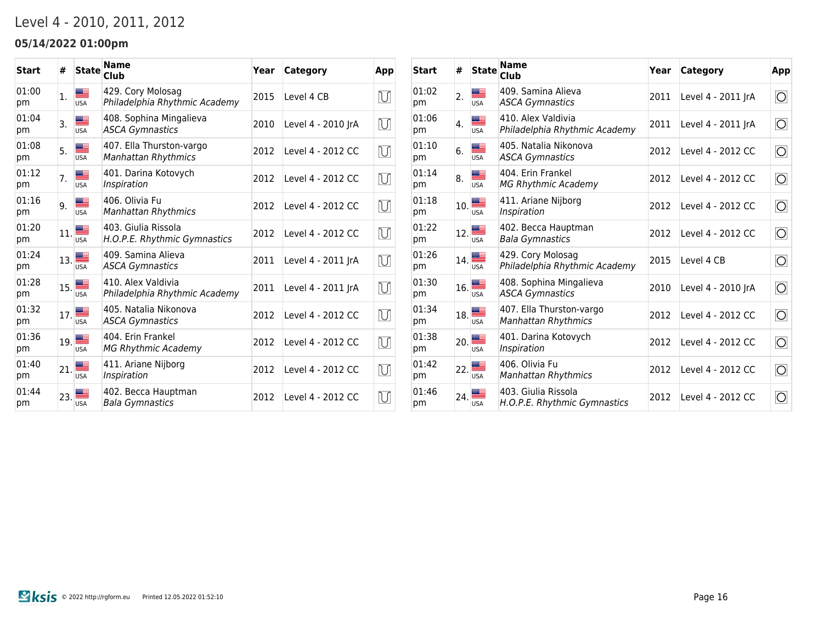## Level 4 - 2010, 2011, 2012

### **05/14/2022 01:00pm**

| <b>Start</b> | #   | <b>State</b> | <b>Name</b><br>Club                                    | Year | Category           | App            |
|--------------|-----|--------------|--------------------------------------------------------|------|--------------------|----------------|
| 01:00<br>pm  | 1.  | <b>USA</b>   | 429. Cory Molosag<br>Philadelphia Rhythmic Academy     | 2015 | Level 4 CB         | $\bigcup$      |
| 01:04<br>рm  | 3.  | <b>USA</b>   | 408. Sophina Mingalieva<br><b>ASCA Gymnastics</b>      | 2010 | Level 4 - 2010 JrA | $\overline{U}$ |
| 01:08<br>pm  | 5.  | <b>USA</b>   | 407. Ella Thurston-vargo<br><b>Manhattan Rhythmics</b> | 2012 | Level 4 - 2012 CC  | U              |
| 01:12<br>pm  | 7.  | <b>USA</b>   | 401. Darina Kotovych<br>Inspiration                    | 2012 | Level 4 - 2012 CC  | U              |
| 01:16<br>pm  | 9.  | <b>USA</b>   | 406. Olivia Fu<br><b>Manhattan Rhythmics</b>           | 2012 | Level 4 - 2012 CC  | $\mathbb U$    |
| 01:20<br>pm  | 11. | <b>USA</b>   | 403. Giulia Rissola<br>H.O.P.E. Rhythmic Gymnastics    | 2012 | Level 4 - 2012 CC  | $\bigcup$      |
| 01:24<br>pm  | 13. | <b>USA</b>   | 409. Samina Alieva<br><b>ASCA Gymnastics</b>           | 2011 | Level 4 - 2011 JrA | U              |
| 01:28<br>pm  | 15. | <b>USA</b>   | 410. Alex Valdivia<br>Philadelphia Rhythmic Academy    | 2011 | Level 4 - 2011 JrA | U              |
| 01:32<br>pm  | 17. | <b>USA</b>   | 405. Natalia Nikonova<br>ASCA Gymnastics               | 2012 | Level 4 - 2012 CC  | M              |
| 01:36<br>pm  | 19. | <b>USA</b>   | 404. Erin Frankel<br>MG Rhythmic Academy               | 2012 | Level 4 - 2012 CC  | $\mathbb U$    |
| 01:40<br>pm  | 21. | <b>USA</b>   | 411. Ariane Nijborg<br>Inspiration                     | 2012 | Level 4 - 2012 CC  | $\bigcup$      |
| 01:44<br>pm  | 23. | <b>USA</b>   | 402. Becca Hauptman<br><b>Bala Gymnastics</b>          | 2012 | Level 4 - 2012 CC  | M              |

| Start       | #   | <b>State</b>                                                                | <b>Name</b><br>Club                                    | Year | Category           | App                   |
|-------------|-----|-----------------------------------------------------------------------------|--------------------------------------------------------|------|--------------------|-----------------------|
| 01:02<br>pm | 2.  | <b>USA</b>                                                                  | 409. Samina Alieva<br><b>ASCA Gymnastics</b>           | 2011 | Level 4 - 2011 JrA | $\overline{\bigcirc}$ |
| 01:06<br>рm | 4.  | <b>USA</b>                                                                  | 410. Alex Valdivia<br>Philadelphia Rhythmic Academy    | 2011 | Level 4 - 2011 JrA | $\overline{\bigcirc}$ |
| 01:10<br>pm | 6.  | ≡<br><b>USA</b>                                                             | 405. Natalia Nikonova<br><b>ASCA Gymnastics</b>        | 2012 | Level 4 - 2012 CC  | $\overline{\bigcirc}$ |
| 01:14<br>pm | 8.  | ≡<br><b>USA</b>                                                             | 404. Erin Frankel<br><b>MG Rhythmic Academy</b>        | 2012 | Level 4 - 2012 CC  | $\overline{\bigcirc}$ |
| 01:18<br>pm | 10. | ≝<br><b>USA</b>                                                             | 411. Ariane Nijborg<br>Inspiration                     | 2012 | Level 4 - 2012 CC  | $\overline{\bigcirc}$ |
| 01:22<br>pm | 12. | <b>USA</b>                                                                  | 402. Becca Hauptman<br>Bala Gymnastics                 | 2012 | Level 4 - 2012 CC  | $\overline{\bigcirc}$ |
| 01:26<br>pm |     | $_{14}$<br><b>USA</b>                                                       | 429. Cory Molosag<br>Philadelphia Rhythmic Academy     | 2015 | Level 4 CB         | $\overline{\bigcirc}$ |
| 01:30<br>рm | 16. | $\begin{array}{c}\n\hline\n\text{Hence} \\ \hline\n\text{USA}\n\end{array}$ | 408. Sophina Mingalieva<br><b>ASCA Gymnastics</b>      | 2010 | Level 4 - 2010 JrA | $\overline{\bigcirc}$ |
| 01:34<br>pm | 18. | <b>USA</b>                                                                  | 407. Ella Thurston-vargo<br><b>Manhattan Rhythmics</b> | 2012 | Level 4 - 2012 CC  | $\overline{\bigcirc}$ |
| 01:38<br>pm | 20. | <b>USA</b>                                                                  | 401. Darina Kotovych<br>Inspiration                    | 2012 | Level 4 - 2012 CC  | $\overline{\bigcirc}$ |
| 01:42<br>pm | 22. | <b>USA</b>                                                                  | 406. Olivia Fu<br><b>Manhattan Rhythmics</b>           | 2012 | Level 4 - 2012 CC  | $\overline{\circ}$    |
| 01:46<br>pm | 24. | <b>USA</b>                                                                  | 403. Giulia Rissola<br>H.O.P.E. Rhythmic Gymnastics    | 2012 | Level 4 - 2012 CC  | $\overline{\bigcirc}$ |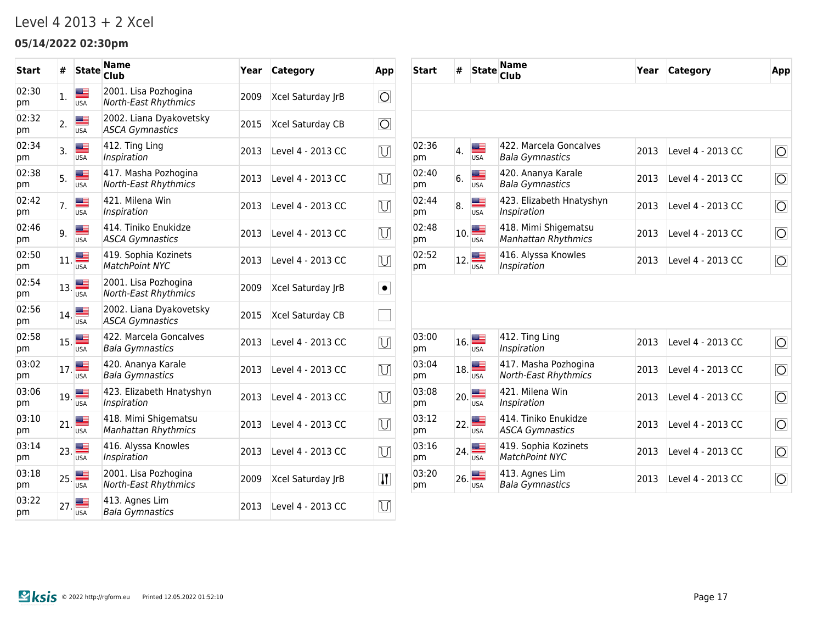### Level 4 2013 + 2 Xcel

### **05/14/2022 02:30pm**

| Start       | #       | <b>State</b>     | Name<br><b>Club</b>                                 | Year | Category          | App                   |
|-------------|---------|------------------|-----------------------------------------------------|------|-------------------|-----------------------|
| 02:30<br>pm | 1.      | ▀<br><b>USA</b>  | 2001. Lisa Pozhogina<br><b>North-East Rhythmics</b> | 2009 | Xcel Saturday JrB | $\overline{\bigcirc}$ |
| 02:32<br>pm | 2.      | æ<br><b>USA</b>  | 2002. Liana Dyakovetsky<br><b>ASCA Gymnastics</b>   | 2015 | Xcel Saturday CB  | $\overline{O}$        |
| 02:34<br>pm | 3.      | ▄▄<br><b>USA</b> | 412. Ting Ling<br>Inspiration                       | 2013 | Level 4 - 2013 CC | $\bigcup$             |
| 02:38<br>рm | 5.      | Æ<br><b>USA</b>  | 417. Masha Pozhogina<br>North-East Rhythmics        | 2013 | Level 4 - 2013 CC | $\mathbb U$           |
| 02:42<br>pm | 7.      | æ<br><b>USA</b>  | 421. Milena Win<br>Inspiration                      | 2013 | Level 4 - 2013 CC | $\mathbb U$           |
| 02:46<br>pm | 9.      | ▆≡<br><b>USA</b> | 414. Tiniko Enukidze<br><b>ASCA Gymnastics</b>      | 2013 | Level 4 - 2013 CC | $\mathbb U$           |
| 02:50<br>pm | 11.     | <b>USA</b>       | 419. Sophia Kozinets<br>MatchPoint NYC              | 2013 | Level 4 - 2013 CC | $\bigcup$             |
| 02:54<br>pm | $13.$ ■ | <b>USA</b>       | 2001. Lisa Pozhogina<br><b>North-East Rhythmics</b> | 2009 | Xcel Saturday JrB | $\bullet$             |
| 02:56<br>рm | 14.     | ≡<br><b>USA</b>  | 2002. Liana Dyakovetsky<br><b>ASCA Gymnastics</b>   | 2015 | Xcel Saturday CB  |                       |
| 02:58<br>pm | 15.     | <b>USA</b>       | 422. Marcela Goncalves<br><b>Bala Gymnastics</b>    | 2013 | Level 4 - 2013 CC | U                     |
| 03:02<br>pm | 17.     | æ<br><b>USA</b>  | 420. Ananya Karale<br><b>Bala Gymnastics</b>        | 2013 | Level 4 - 2013 CC | $\bigcup$             |
| 03:06<br>pm | 19.     | <b>USA</b>       | 423. Elizabeth Hnatyshyn<br>Inspiration             | 2013 | Level 4 - 2013 CC | $\mathbb U$           |
| 03:10<br>pm | 21.     | <b>USA</b>       | 418. Mimi Shigematsu<br><b>Manhattan Rhythmics</b>  | 2013 | Level 4 - 2013 CC | $\overline{\cup}$     |
| 03:14<br>pm | 23.     | ≝<br><b>USA</b>  | 416. Alyssa Knowles<br>Inspiration                  | 2013 | Level 4 - 2013 CC | U                     |
| 03:18<br>pm | 25.     | <b>USA</b>       | 2001. Lisa Pozhogina<br>North-East Rhythmics        | 2009 | Xcel Saturday JrB | $\overline{W}$        |
| 03:22<br>pm | 27.     | <b>USA</b>       | 413. Agnes Lim<br><b>Bala Gymnastics</b>            | 2013 | Level 4 - 2013 CC | $\bigcup$             |
|             |         |                  |                                                     |      |                   |                       |

| <b>Start</b> | #   | <b>State</b>     | <b>Name</b><br>Club                                 | Year | <b>Category</b>   | App                   |
|--------------|-----|------------------|-----------------------------------------------------|------|-------------------|-----------------------|
|              |     |                  |                                                     |      |                   |                       |
|              |     |                  |                                                     |      |                   |                       |
| 02:36<br>pm  | 4.  | <b>USA</b>       | 422. Marcela Goncalves<br><b>Bala Gymnastics</b>    | 2013 | Level 4 - 2013 CC | $\overline{\circ}$    |
| 02:40<br>pm  | 6.  | <b>USA</b>       | 420. Ananya Karale<br><b>Bala Gymnastics</b>        | 2013 | Level 4 - 2013 CC | $\overline{O}$        |
| 02:44<br>pm  | 8.  | <b>USA</b>       | 423. Elizabeth Hnatyshyn<br>Inspiration             | 2013 | Level 4 - 2013 CC | $\overline{\bigcirc}$ |
| 02:48<br>pm  | 10. | ▩▬<br><b>USA</b> | 418. Mimi Shigematsu<br><b>Manhattan Rhythmics</b>  | 2013 | Level 4 - 2013 CC | $\overline{O}$        |
| 02:52<br>pm  | 12. | <b>USA</b>       | 416. Alyssa Knowles<br>Inspiration                  | 2013 | Level 4 - 2013 CC | $\overline{O}$        |
|              |     |                  |                                                     |      |                   |                       |
|              |     |                  |                                                     |      |                   |                       |
| 03:00<br>pm  | 16. | $\overline{USA}$ | 412. Ting Ling<br>Inspiration                       | 2013 | Level 4 - 2013 CC | $\overline{O}$        |
| 03:04<br>pm  | 18. | <b>USA</b>       | 417. Masha Pozhogina<br><b>North-East Rhythmics</b> | 2013 | Level 4 - 2013 CC | $\overline{O}$        |
| 03:08<br>pm  | 20. | <b>USA</b>       | 421. Milena Win<br>Inspiration                      | 2013 | Level 4 - 2013 CC | $\overline{\bigcirc}$ |
| 03:12<br>pm  | 22. | <b>USA</b>       | 414. Tiniko Enukidze<br><b>ASCA Gymnastics</b>      | 2013 | Level 4 - 2013 CC | $\overline{O}$        |
| 03:16<br>pm  | 24. | <b>USA</b>       | 419. Sophia Kozinets<br><b>MatchPoint NYC</b>       | 2013 | Level 4 - 2013 CC | $\overline{O}$        |
| 03:20<br>pm  | 26. | <b>USA</b>       | 413. Agnes Lim<br>Bala Gymnastics                   | 2013 | Level 4 - 2013 CC | $\overline{\bigcirc}$ |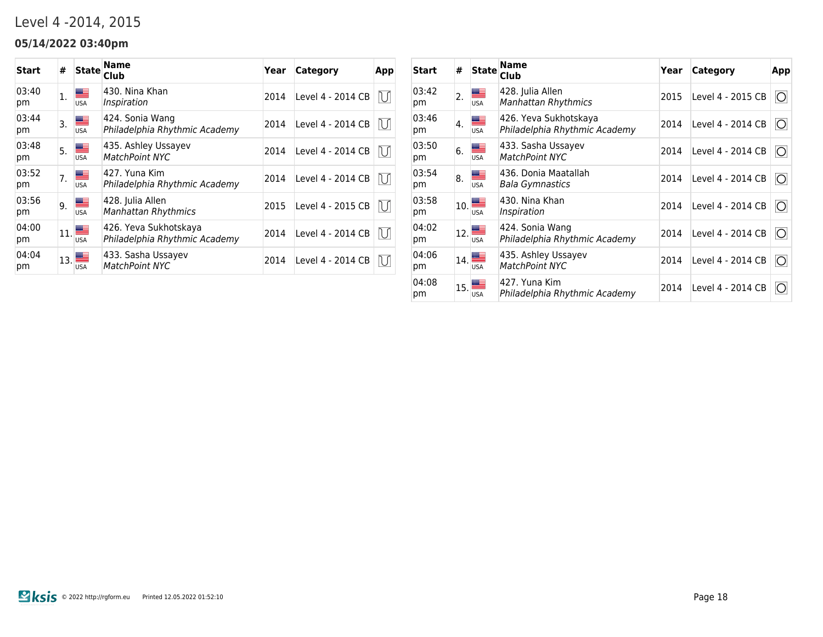## Level 4 -2014, 2015

### **05/14/2022 03:40pm**

| <b>Start</b> | #  | <b>State</b>                                      | Name<br>Club                                           | Year | Category          | App |
|--------------|----|---------------------------------------------------|--------------------------------------------------------|------|-------------------|-----|
| 03:40<br>pm  | 1. | <b>USA</b>                                        | 430. Nina Khan<br>Inspiration                          | 2014 | Level 4 - 2014 CB | U   |
| 03:44<br>рm  | 3. | <b>USA</b>                                        | 424. Sonia Wang<br>Philadelphia Rhythmic Academy       | 2014 | Level 4 - 2014 CB | U   |
| 03:48<br>рm  | 5. | <b>USA</b>                                        | 435. Ashley Ussayev<br>MatchPoint NYC                  | 2014 | Level 4 - 2014 CB | IU. |
| 03:52<br>pm  | 7. | ▀<br><b>USA</b>                                   | 427. Yuna Kim<br>Philadelphia Rhythmic Academy         | 2014 | Level 4 - 2014 CB | U   |
| 03:56<br>pm  | 9. | ▀<br><b>USA</b>                                   | 428. Julia Allen<br><b>Manhattan Rhythmics</b>         | 2015 | Level 4 - 2015 CB | IJ  |
| 04:00<br>pm  |    | $v_{11}$ is a set of $\blacksquare$<br><b>USA</b> | 426. Yeva Sukhotskaya<br>Philadelphia Rhythmic Academy | 2014 | Level 4 - 2014 CB | IJ  |
| 04:04<br>pm  |    | $\mathbb{I}_{13}$ $\blacksquare$<br>USA           | 433. Sasha Ussayev<br><b>MatchPoint NYC</b>            | 2014 | Level 4 - 2014 CB | U   |

| Start       | #   | <b>State</b>    | Name<br>Club                                           | Year | Category          | App                    |
|-------------|-----|-----------------|--------------------------------------------------------|------|-------------------|------------------------|
| 03:42<br>pm | 2.  | <b>USA</b>      | 428. Julia Allen<br>Manhattan Rhythmics                | 2015 | Level 4 - 2015 CB | $\vert \bigcirc \vert$ |
| 03:46<br>pm | 4.  | <b>USA</b>      | 426. Yeva Sukhotskaya<br>Philadelphia Rhythmic Academy | 2014 | Level 4 - 2014 CB | $\vert \bigcirc \vert$ |
| 03:50<br>pm | 6.  | ≝<br><b>USA</b> | 433. Sasha Ussayev<br>MatchPoint NYC                   | 2014 | Level 4 - 2014 CB | $\circ$                |
| 03:54<br>pm | 8.  | ▀<br><b>USA</b> | 436. Donia Maatallah<br>Bala Gymnastics                | 2014 | Level 4 - 2014 CB | $\vert \bigcirc \vert$ |
| 03:58<br>pm | 10. | ▀<br><b>USA</b> | 430. Nina Khan<br>Inspiration                          | 2014 | Level 4 - 2014 CB | $\vert \bigcirc \vert$ |
| 04:02<br>pm | 12. | ▀<br><b>USA</b> | 424. Sonia Wang<br>Philadelphia Rhythmic Academy       | 2014 | Level 4 - 2014 CB | $\vert \bigcirc \vert$ |
| 04:06<br>pm | 14. | ▀<br><b>USA</b> | 435. Ashley Ussayev<br><b>MatchPoint NYC</b>           | 2014 | Level 4 - 2014 CB | $\vert \bigcirc \vert$ |
| 04:08<br>pm | 15. | USA             | 427. Yuna Kim<br>Philadelphia Rhythmic Academy         | 2014 | Level 4 - 2014 CB | <b>O</b>               |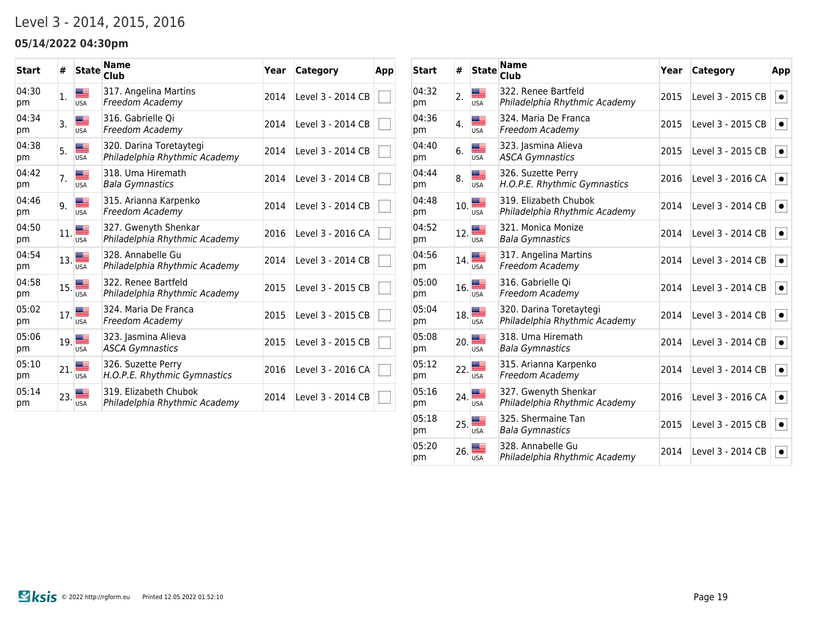## Level 3 - 2014, 2015, 2016

### **05/14/2022 04:30pm**

| <b>Start</b> | #              | <b>State</b> | <b>Name</b><br>Club                                      | Year | Category          | App |
|--------------|----------------|--------------|----------------------------------------------------------|------|-------------------|-----|
| 04:30<br>pm  | $\mathbf{1}$ . | USA          | 317. Angelina Martins<br>Freedom Academy                 | 2014 | Level 3 - 2014 CB |     |
| 04:34<br>pm  | 3.             | <b>USA</b>   | 316. Gabrielle Oi<br>Freedom Academy                     | 2014 | Level 3 - 2014 CB |     |
| 04:38<br>pm  | 5.             | <b>USA</b>   | 320. Darina Toretaytegi<br>Philadelphia Rhythmic Academy | 2014 | Level 3 - 2014 CB |     |
| 04:42<br>pm  | 7.             | <b>USA</b>   | 318. Uma Hiremath<br>Bala Gymnastics                     | 2014 | Level 3 - 2014 CB |     |
| 04:46<br>pm  | 9.             | <b>USA</b>   | 315. Arianna Karpenko<br>Freedom Academy                 | 2014 | Level 3 - 2014 CB |     |
| 04:50<br>pm  | 11.            | <b>USA</b>   | 327. Gwenyth Shenkar<br>Philadelphia Rhythmic Academy    | 2016 | Level 3 - 2016 CA |     |
| 04:54<br>pm  | 13.            | <b>USA</b>   | 328. Annabelle Gu<br>Philadelphia Rhythmic Academy       | 2014 | Level 3 - 2014 CB |     |
| 04:58<br>pm  | 15.            | <b>USA</b>   | 322. Renee Bartfeld<br>Philadelphia Rhythmic Academy     | 2015 | Level 3 - 2015 CB |     |
| 05:02<br>pm  | 17.            | <b>USA</b>   | 324. Maria De Franca<br>Freedom Academy                  | 2015 | Level 3 - 2015 CB |     |
| 05:06<br>pm  | 19.            | <b>USA</b>   | 323. Jasmina Alieva<br><b>ASCA Gymnastics</b>            | 2015 | Level 3 - 2015 CB |     |
| 05:10<br>pm  | 21.            | <b>USA</b>   | 326. Suzette Perry<br>H.O.P.E. Rhythmic Gymnastics       | 2016 | Level 3 - 2016 CA |     |
| 05:14<br>pm  | 23.            | <b>USA</b>   | 319. Elizabeth Chubok<br>Philadelphia Rhythmic Academy   | 2014 | Level 3 - 2014 CB |     |

| Start       | #   | <b>State</b>     | <b>Name</b><br><b>Club</b>                               | Year | <b>Category</b>   | App       |
|-------------|-----|------------------|----------------------------------------------------------|------|-------------------|-----------|
| 04:32<br>pm | 2.  | <b>USA</b>       | 322. Renee Bartfeld<br>Philadelphia Rhythmic Academy     | 2015 | Level 3 - 2015 CB | $\bullet$ |
| 04:36<br>pm | 4.  | æ<br><b>USA</b>  | 324. Maria De Franca<br>Freedom Academy                  | 2015 | Level 3 - 2015 CB | $\bullet$ |
| 04:40<br>pm | 6.  | <b>USA</b>       | 323. Jasmina Alieva<br><b>ASCA Gymnastics</b>            | 2015 | Level 3 - 2015 CB | $\bullet$ |
| 04:44<br>pm | 8.  | Æ<br><b>USA</b>  | 326. Suzette Perry<br>H.O.P.E. Rhythmic Gymnastics       | 2016 | Level 3 - 2016 CA | $\bullet$ |
| 04:48<br>pm | 10. | ≔<br><b>USA</b>  | 319. Elizabeth Chubok<br>Philadelphia Rhythmic Academy   | 2014 | Level 3 - 2014 CB | $\bullet$ |
| 04:52<br>pm | 12. | ≋≡<br><b>USA</b> | 321. Monica Monize<br><b>Bala Gymnastics</b>             | 2014 | Level 3 - 2014 CB | $\bullet$ |
| 04:56<br>pm | 14. | <b>USA</b>       | 317. Angelina Martins<br>Freedom Academy                 | 2014 | Level 3 - 2014 CB | $\bullet$ |
| 05:00<br>pm | 16. | <b>USA</b>       | 316. Gabrielle Qi<br>Freedom Academy                     | 2014 | Level 3 - 2014 CB | $\bullet$ |
| 05:04<br>pm | 18. | <b>USA</b>       | 320. Darina Toretaytegi<br>Philadelphia Rhythmic Academy | 2014 | Level 3 - 2014 CB | $\bullet$ |
| 05:08<br>pm | 20. | <b>USA</b>       | 318. Uma Hiremath<br><b>Bala Gymnastics</b>              | 2014 | Level 3 - 2014 CB | $\bullet$ |
| 05:12<br>pm | 22. | <b>USA</b>       | 315. Arianna Karpenko<br>Freedom Academy                 | 2014 | Level 3 - 2014 CB | $\bullet$ |
| 05:16<br>pm | 24. | <b>USA</b>       | 327. Gwenyth Shenkar<br>Philadelphia Rhythmic Academy    | 2016 | Level 3 - 2016 CA | $\bullet$ |
| 05:18<br>pm | 25. | <b>USA</b>       | 325. Shermaine Tan<br><b>Bala Gymnastics</b>             | 2015 | Level 3 - 2015 CB | $\bullet$ |
| 05:20<br>рm | 26. | <b>USA</b>       | 328. Annabelle Gu<br>Philadelphia Rhythmic Academy       | 2014 | Level 3 - 2014 CB | $\bullet$ |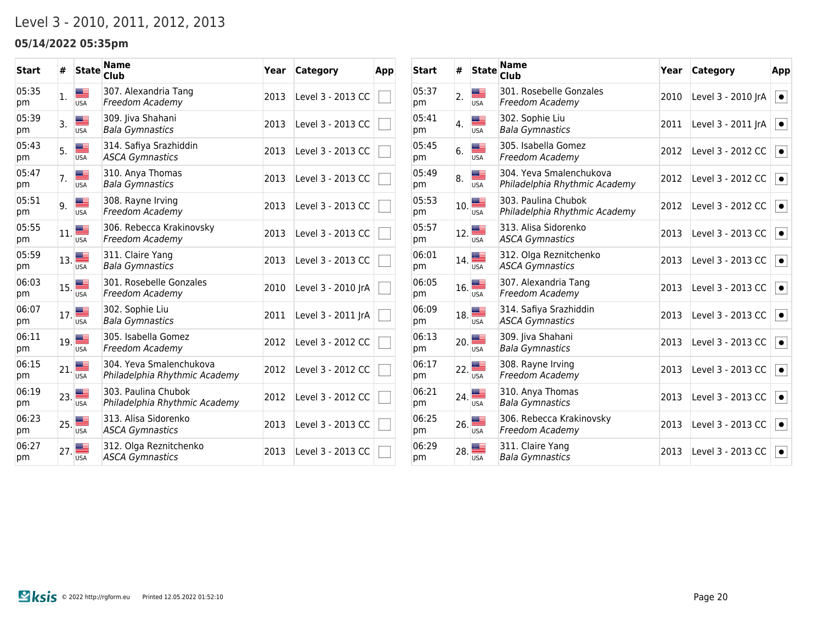## Level 3 - 2010, 2011, 2012, 2013

### **05/14/2022 05:35pm**

| <b>Start</b> | #   | <b>State</b>    | <b>Name</b><br>Club                                      | Year | Category           | App |
|--------------|-----|-----------------|----------------------------------------------------------|------|--------------------|-----|
| 05:35<br>pm  | 1.  | ▀<br><b>USA</b> | 307. Alexandria Tang<br>Freedom Academy                  | 2013 | Level 3 - 2013 CC  |     |
| 05:39<br>pm  | 3.  | <b>USA</b>      | 309. Jiva Shahani<br><b>Bala Gymnastics</b>              | 2013 | Level 3 - 2013 CC  |     |
| 05:43<br>pm  | 5.  | <b>USA</b>      | 314. Safiya Srazhiddin<br><b>ASCA Gymnastics</b>         | 2013 | Level 3 - 2013 CC  |     |
| 05:47<br>pm  | 7.  | <b>USA</b>      | 310. Anya Thomas<br><b>Bala Gymnastics</b>               | 2013 | Level 3 - 2013 CC  |     |
| 05:51<br>pm  | 9.  | <b>USA</b>      | 308. Rayne Irving<br>Freedom Academy                     | 2013 | Level 3 - 2013 CC  |     |
| 05:55<br>pm  | 11. | <b>USA</b>      | 306. Rebecca Krakinovsky<br>Freedom Academy              | 2013 | Level 3 - 2013 CC  |     |
| 05:59<br>pm  | 13. | <b>USA</b>      | 311. Claire Yang<br><b>Bala Gymnastics</b>               | 2013 | Level 3 - 2013 CC  |     |
| 06:03<br>pm  | 15. | <b>USA</b>      | 301. Rosebelle Gonzales<br>Freedom Academy               | 2010 | Level 3 - 2010 JrA |     |
| 06:07<br>pm  | 17. | <b>USA</b>      | 302. Sophie Liu<br><b>Bala Gymnastics</b>                | 2011 | Level 3 - 2011 JrA |     |
| 06:11<br>pm  | 19. | <b>USA</b>      | 305. Isabella Gomez<br>Freedom Academy                   | 2012 | Level 3 - 2012 CC  |     |
| 06:15<br>pm  | 21. | <b>USA</b>      | 304. Yeva Smalenchukova<br>Philadelphia Rhythmic Academy | 2012 | Level 3 - 2012 CC  |     |
| 06:19<br>pm  | 23. | <b>USA</b>      | 303. Paulina Chubok<br>Philadelphia Rhythmic Academy     | 2012 | Level 3 - 2012 CC  |     |
| 06:23<br>pm  | 25. | <b>USA</b>      | 313. Alisa Sidorenko<br><b>ASCA Gymnastics</b>           | 2013 | Level 3 - 2013 CC  |     |
| 06:27<br>pm  | 27. | <b>USA</b>      | 312. Olga Reznitchenko<br><b>ASCA Gymnastics</b>         | 2013 | Level 3 - 2013 CC  |     |

| <b>Start</b> | #                | <b>State</b>              | <b>Name</b><br><b>Club</b>                               | Year | <b>Category</b>    | App       |
|--------------|------------------|---------------------------|----------------------------------------------------------|------|--------------------|-----------|
| 05:37<br>pm  | $\overline{2}$ . | ▩▁<br><b>USA</b>          | 301. Rosebelle Gonzales<br>Freedom Academy               | 2010 | Level 3 - 2010 JrA | $\bullet$ |
| 05:41<br>pm  | 4.               | ▩▁<br><b>USA</b>          | 302. Sophie Liu<br><b>Bala Gymnastics</b>                | 2011 | Level 3 - 2011 JrA | $\bullet$ |
| 05:45<br>pm  | 6.               | <b>USA</b>                | 305. Isabella Gomez<br>Freedom Academy                   | 2012 | Level 3 - 2012 CC  | $\bullet$ |
| 05:49<br>pm  | 8.               | <u>aa –</u><br><b>USA</b> | 304. Yeva Smalenchukova<br>Philadelphia Rhythmic Academy | 2012 | Level 3 - 2012 CC  | $\bullet$ |
| 05:53<br>pm  | 10.              | <b>USA</b>                | 303. Paulina Chubok<br>Philadelphia Rhythmic Academy     | 2012 | Level 3 - 2012 CC  | $\bullet$ |
| 05:57<br>pm  | 12.              | ▄▅<br><b>USA</b>          | 313. Alisa Sidorenko<br><b>ASCA Gymnastics</b>           | 2013 | Level 3 - 2013 CC  | $\bullet$ |
| 06:01<br>pm  | 14.              | <b>USA</b>                | 312. Olga Reznitchenko<br><b>ASCA Gymnastics</b>         | 2013 | Level 3 - 2013 CC  | $\bullet$ |
| 06:05<br>pm  | 16.              | ▄▅▅<br><b>USA</b>         | 307. Alexandria Tang<br>Freedom Academy                  | 2013 | Level 3 - 2013 CC  | $\bullet$ |
| 06:09<br>pm  | 18.              | <b>USA</b>                | 314. Safiya Srazhiddin<br><b>ASCA Gymnastics</b>         | 2013 | Level 3 - 2013 CC  | $\bullet$ |
| 06:13<br>pm  | 20.              | <b>USA</b>                | 309. Jiva Shahani<br><b>Bala Gymnastics</b>              | 2013 | Level 3 - 2013 CC  | $\bullet$ |
| 06:17<br>pm  | 22.              | <b>USA</b>                | 308. Rayne Irving<br>Freedom Academy                     | 2013 | Level 3 - 2013 CC  | $\bullet$ |
| 06:21<br>pm  | 24.              | <b>USA</b>                | 310. Anya Thomas<br><b>Bala Gymnastics</b>               | 2013 | Level 3 - 2013 CC  | $\bullet$ |
| 06:25<br>pm  | 26.              | æ<br><b>USA</b>           | 306. Rebecca Krakinovsky<br>Freedom Academy              | 2013 | Level 3 - 2013 CC  | $\bullet$ |
| 06:29<br>pm  | 28.              | <b>USA</b>                | 311. Claire Yang<br>Bala Gymnastics                      | 2013 | Level 3 - 2013 CC  | $\bullet$ |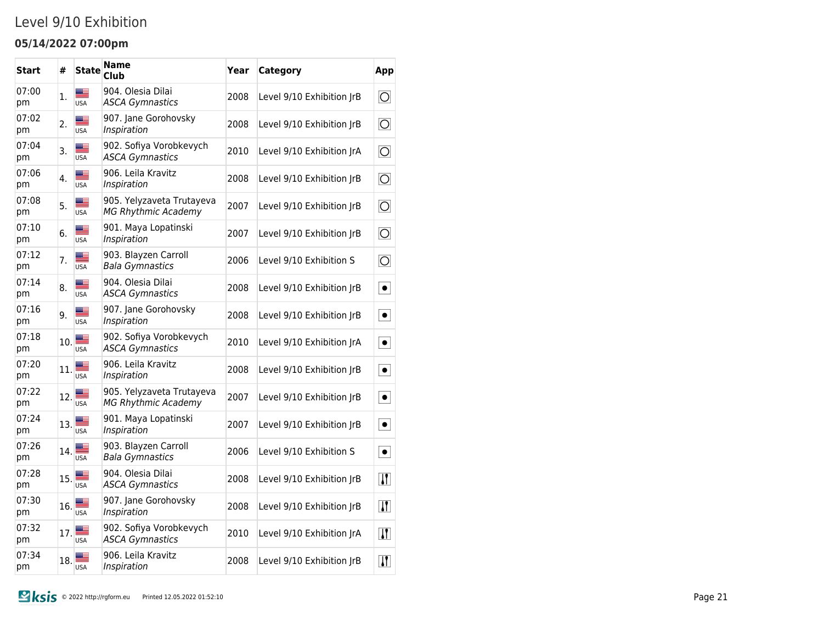## Level 9/10 Exhibition

### **05/14/2022 07:00pm**

| Start       | #   | <b>State</b>                | Name<br>Club                                            | Year | <b>Category</b>           | App                    |
|-------------|-----|-----------------------------|---------------------------------------------------------|------|---------------------------|------------------------|
| 07:00<br>pm | 1.  | ≝<br><b>USA</b>             | 904. Olesia Dilai<br><b>ASCA Gymnastics</b>             | 2008 | Level 9/10 Exhibition JrB | $\vert \bigcirc \vert$ |
| 07:02<br>pm | 2.  | ▄▆<br><b>USA</b>            | 907. Jane Gorohovsky<br>Inspiration                     | 2008 | Level 9/10 Exhibition JrB | $\overline{\bigcirc}$  |
| 07:04<br>pm | 3.  | ▆▆<br><b>USA</b>            | 902. Sofiya Vorobkevych<br><b>ASCA Gymnastics</b>       | 2010 | Level 9/10 Exhibition JrA | $\overline{\bigcirc}$  |
| 07:06<br>рm | 4.  | ▓≣<br><b>USA</b>            | 906. Leila Kravitz<br>Inspiration                       | 2008 | Level 9/10 Exhibition JrB | $\overline{\bigcirc}$  |
| 07:08<br>pm | 5.  | ▆▆<br><b>USA</b>            | 905. Yelyzaveta Trutayeva<br><b>MG Rhythmic Academy</b> | 2007 | Level 9/10 Exhibition JrB | $\overline{\bigcirc}$  |
| 07:10<br>рm | 6.  | <b>Martin</b><br><b>USA</b> | 901. Maya Lopatinski<br>Inspiration                     | 2007 | Level 9/10 Exhibition JrB | $\overline{O}$         |
| 07:12<br>рm | 7.  | █≡<br><b>USA</b>            | 903. Blayzen Carroll<br><b>Bala Gymnastics</b>          | 2006 | Level 9/10 Exhibition S   | $\overline{\bigcirc}$  |
| 07:14<br>pm | 8.  | █≡<br><b>USA</b>            | 904. Olesia Dilai<br><b>ASCA Gymnastics</b>             | 2008 | Level 9/10 Exhibition JrB | $\bullet$              |
| 07:16<br>pm | 9.  | █≡<br><b>USA</b>            | 907. Jane Gorohovsky<br>Inspiration                     | 2008 | Level 9/10 Exhibition JrB | $\bullet$              |
| 07:18<br>pm | 10. | ≝<br><b>USA</b>             | 902. Sofiya Vorobkevych<br><b>ASCA Gymnastics</b>       | 2010 | Level 9/10 Exhibition JrA | $\bullet$              |
| 07:20<br>pm | 11. | USA                         | 906. Leila Kravitz<br>Inspiration                       | 2008 | Level 9/10 Exhibition JrB | $\bullet$              |
| 07:22<br>pm | 12. | USA                         | 905. Yelyzaveta Trutayeva<br><b>MG Rhythmic Academy</b> | 2007 | Level 9/10 Exhibition JrB | $\bullet$              |
| 07:24<br>pm | 13. | USA                         | 901. Maya Lopatinski<br>Inspiration                     | 2007 | Level 9/10 Exhibition JrB | $\bullet$              |
| 07:26<br>pm | 14. | USA                         | 903. Blayzen Carroll<br><b>Bala Gymnastics</b>          | 2006 | Level 9/10 Exhibition S   | $\bullet$              |
| 07:28<br>pm | 15. | USA                         | 904. Olesia Dilai<br><b>ASCA Gymnastics</b>             | 2008 | Level 9/10 Exhibition JrB | $\vert \bm{\Pi} \vert$ |
| 07:30<br>pm | 16. | USA                         | 907. Jane Gorohovsky<br>Inspiration                     | 2008 | Level 9/10 Exhibition JrB | $\bf{H}$               |
| 07:32<br>pm | 17. | USA                         | 902. Sofiya Vorobkevych<br><b>ASCA Gymnastics</b>       | 2010 | Level 9/10 Exhibition JrA | $\bf{T}$               |
| 07:34<br>рm | 18. | USA                         | 906. Leila Kravitz<br>Inspiration                       | 2008 | Level 9/10 Exhibition JrB | $\bf{H}$               |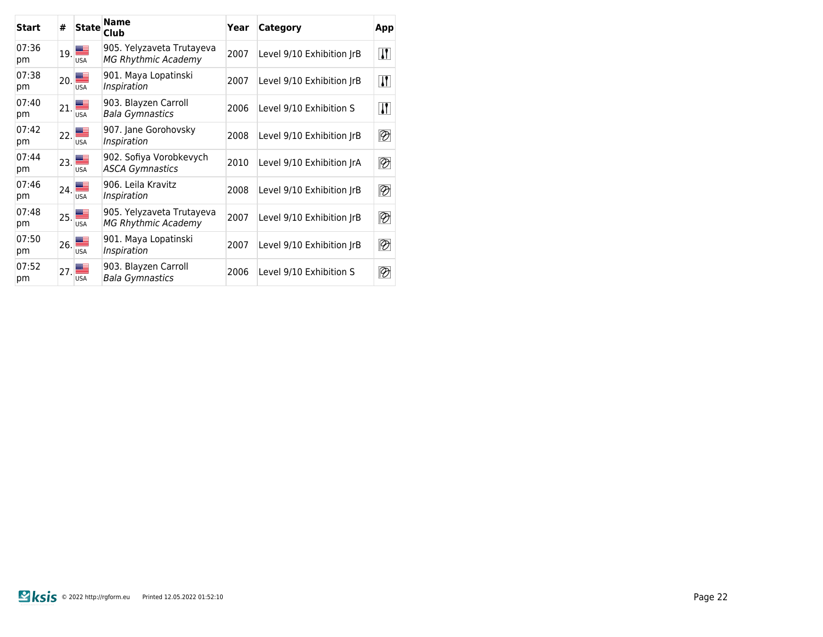| <b>Start</b> | #            | <b>State</b>                                   | Name<br>Club                                            | Year | Category                  | App                      |
|--------------|--------------|------------------------------------------------|---------------------------------------------------------|------|---------------------------|--------------------------|
| 07:36<br>pm  |              | $\mathbf{1}_{19}$ $\blacksquare$<br><b>USA</b> | 905. Yelyzaveta Trutayeva<br><b>MG Rhythmic Academy</b> | 2007 | Level 9/10 Exhibition IrB | $\vert \bm{\Pi} \vert$   |
| 07:38<br>pm  | $20. \equiv$ | <b>USA</b>                                     | 901. Maya Lopatinski<br>Inspiration                     | 2007 | Level 9/10 Exhibition JrB | $\vert \bm{\Pi} \vert$   |
| 07:40<br>pm  |              | $v_{21}$ $\blacksquare$<br><b>USA</b>          | 903. Blayzen Carroll<br><b>Bala Gymnastics</b>          | 2006 | Level 9/10 Exhibition S   | $\vert \bm{\Pi} \vert$   |
| 07:42<br>pm  | 22.1         | USA                                            | 907. Jane Gorohovsky<br>Inspiration                     | 2008 | Level 9/10 Exhibition IrB | $\overline{\mathscr{D}}$ |
| 07:44<br>pm  |              | $_{23.}$<br><b>USA</b>                         | 902. Sofiya Vorobkevych<br><b>ASCA Gymnastics</b>       | 2010 | Level 9/10 Exhibition JrA | $\overline{\mathscr{D}}$ |
| 07:46<br>pm  | 24.          | <b>USA</b>                                     | 906. Leila Kravitz<br>Inspiration                       | 2008 | Level 9/10 Exhibition JrB | $\overline{\mathscr{D}}$ |
| 07:48<br>pm  |              | $\overline{25}$ .<br><b>USA</b>                | 905. Yelyzaveta Trutayeva<br><b>MG Rhythmic Academy</b> | 2007 | Level 9/10 Exhibition IrB | $\overline{\mathscr{D}}$ |
| 07:50<br>pm  | 26.          | <b>USA</b>                                     | 901. Maya Lopatinski<br>Inspiration                     | 2007 | Level 9/10 Exhibition JrB | $\overline{\mathscr{D}}$ |
| 07:52<br>pm  | 27.          | <b>USA</b>                                     | 903. Blayzen Carroll<br>Bala Gymnastics                 | 2006 | Level 9/10 Exhibition S   | ℗                        |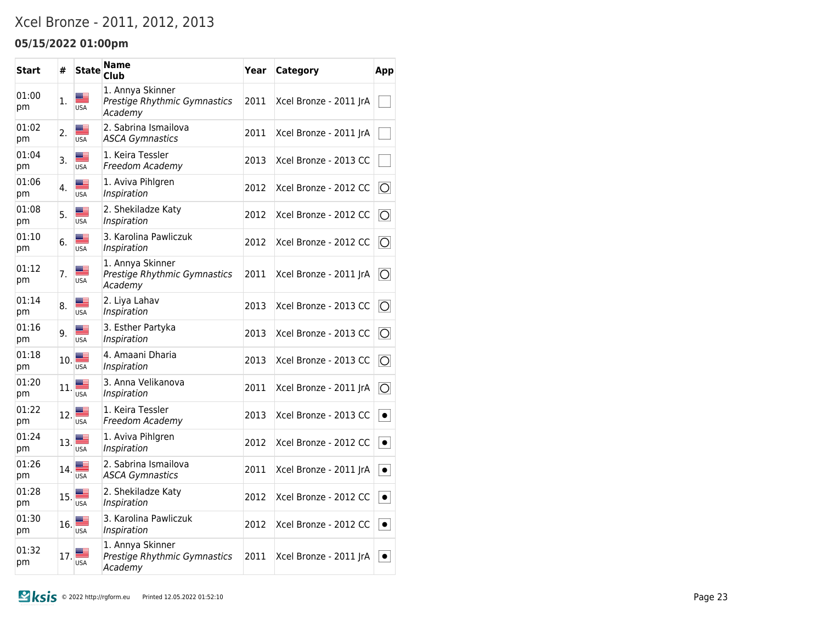## Xcel Bronze - 2011, 2012, 2013

### **05/15/2022 01:00pm**

| <b>Start</b> | #   | <b>State</b>     | <b>Name</b><br><b>Club</b>                                  | Year | Category               | App            |
|--------------|-----|------------------|-------------------------------------------------------------|------|------------------------|----------------|
| 01:00<br>pm  | 1.  | █≣<br><b>USA</b> | 1. Annya Skinner<br>Prestige Rhythmic Gymnastics<br>Academy | 2011 | Xcel Bronze - 2011 JrA |                |
| 01:02<br>pm  | 2.  | Æ<br><b>USA</b>  | 2. Sabrina Ismailova<br><b>ASCA Gymnastics</b>              | 2011 | Xcel Bronze - 2011 JrA |                |
| 01:04<br>pm  | 3.  | <b>USA</b>       | 1. Keira Tessler<br>Freedom Academy                         | 2013 | Xcel Bronze - 2013 CC  |                |
| 01:06<br>pm  | 4.  | <b>USA</b>       | 1. Aviva Pihlgren<br>Inspiration                            | 2012 | Xcel Bronze - 2012 CC  | $\overline{O}$ |
| 01:08<br>pm  | 5.  | <b>USA</b>       | 2. Shekiladze Katy<br>Inspiration                           | 2012 | Xcel Bronze - 2012 CC  | O              |
| 01:10<br>pm  | 6.  | <b>USA</b>       | 3. Karolina Pawliczuk<br>Inspiration                        | 2012 | Xcel Bronze - 2012 CC  | $\circ$        |
| 01:12<br>pm  | 7.  | ▆▆<br><b>USA</b> | 1. Annya Skinner<br>Prestige Rhythmic Gymnastics<br>Academy | 2011 | Xcel Bronze - 2011 JrA | $\overline{O}$ |
| 01:14<br>pm  | 8.  | ≝<br><b>USA</b>  | 2. Liya Lahav<br>Inspiration                                | 2013 | Xcel Bronze - 2013 CC  | $\circ$        |
| 01:16<br>pm  | 9.  | <b>USA</b>       | 3. Esther Partyka<br>Inspiration                            | 2013 | Xcel Bronze - 2013 CC  | $\overline{O}$ |
| 01:18<br>pm  | 10. | <b>USA</b>       | 4. Amaani Dharia<br>Inspiration                             | 2013 | Xcel Bronze - 2013 CC  | $\circ$        |
| 01:20<br>pm  | 11. | <b>USA</b>       | 3. Anna Velikanova<br>Inspiration                           | 2011 | Xcel Bronze - 2011 JrA | $\circ$        |
| 01:22<br>pm  | 12. | <b>USA</b>       | 1. Keira Tessler<br>Freedom Academy                         | 2013 | Xcel Bronze - 2013 CC  | $\bullet$      |
| 01:24<br>pm  | 13. | ▇<br><b>USA</b>  | 1. Aviva Pihlgren<br>Inspiration                            | 2012 | Xcel Bronze - 2012 CC  | $\bullet$      |
| 01:26<br>pm  | 14. | ≡<br><b>USA</b>  | 2. Sabrina Ismailova<br><b>ASCA Gymnastics</b>              | 2011 | Xcel Bronze - 2011 JrA | $\bullet$      |
| 01:28<br>pm  | 15. | ≝<br><b>USA</b>  | 2. Shekiladze Katy<br>Inspiration                           | 2012 | Xcel Bronze - 2012 CC  | $\bullet$      |
| 01:30<br>pm  | 16. | █▉<br><b>USA</b> | 3. Karolina Pawliczuk<br>Inspiration                        | 2012 | Xcel Bronze - 2012 CC  | $\bullet$      |
| 01:32<br>pm  | 17. | <b>USA</b>       | 1. Annya Skinner<br>Prestige Rhythmic Gymnastics<br>Academy | 2011 | Xcel Bronze - 2011 JrA | $\bullet$      |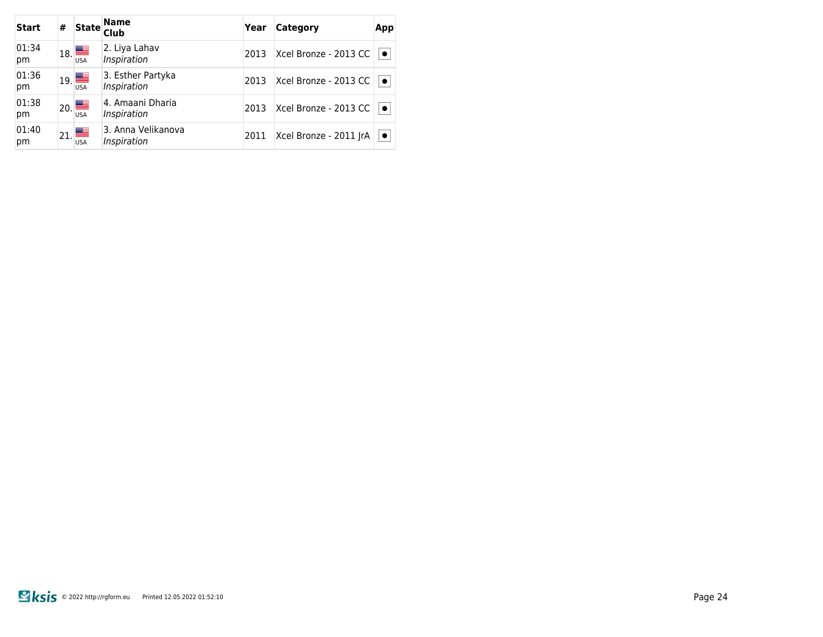| <b>Start</b> | # | <b>State</b>                                   | <b>Name</b><br><b>Club</b>        | Year | Category               | App       |
|--------------|---|------------------------------------------------|-----------------------------------|------|------------------------|-----------|
| 01:34<br>pm  |   | $\mathbf{1}_{18}$ $\blacksquare$<br><b>USA</b> | 2. Liya Lahav<br>Inspiration      | 2013 | Xcel Bronze - 2013 CC  | $\bullet$ |
| 01:36<br>pm  |   | $_{19}$<br><b>USA</b>                          | 3. Esther Partyka<br>Inspiration  | 2013 | Xcel Bronze - 2013 CC  | $\bullet$ |
| 01:38<br>pm  |   | $\mathbf{z}_0$ $\blacksquare$<br><b>USA</b>    | 4. Amaani Dharia<br>Inspiration   | 2013 | Xcel Bronze - 2013 CC  | $\bullet$ |
| 01:40<br>pm  |   | $\mathbf{1}_{21}$<br><b>USA</b>                | 3. Anna Velikanova<br>Inspiration | 2011 | Xcel Bronze - 2011 JrA | $\bullet$ |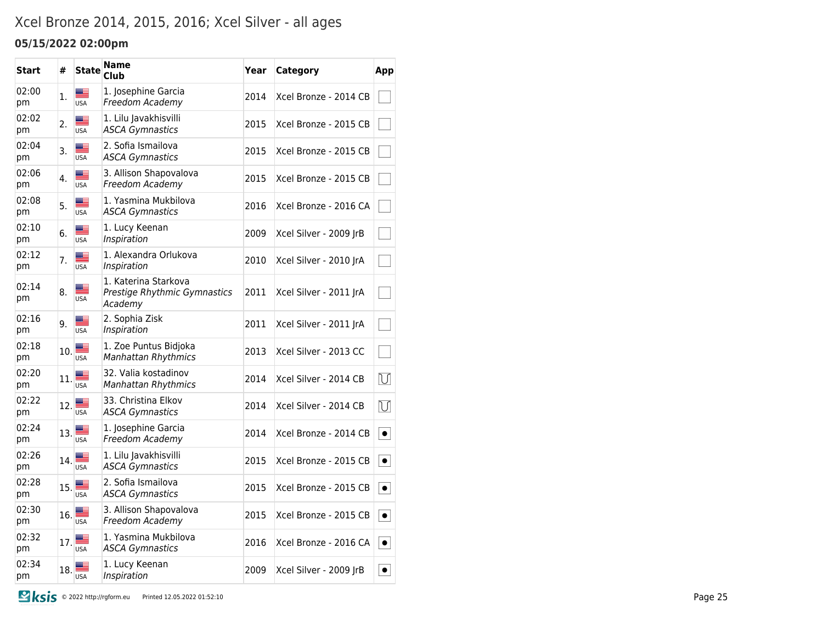## Xcel Bronze 2014, 2015, 2016; Xcel Silver - all ages

### **05/15/2022 02:00pm**

| <b>Start</b> | #   | <b>State</b>                                                                                                                                                                                                                                                                                                                                                                                                                                     | <b>Name</b><br>Club                                             | Year | Category               | App            |
|--------------|-----|--------------------------------------------------------------------------------------------------------------------------------------------------------------------------------------------------------------------------------------------------------------------------------------------------------------------------------------------------------------------------------------------------------------------------------------------------|-----------------------------------------------------------------|------|------------------------|----------------|
| 02:00<br>pm  | 1.  | ş<br><b>USA</b>                                                                                                                                                                                                                                                                                                                                                                                                                                  | 1. Josephine Garcia<br>Freedom Academy                          | 2014 | Xcel Bronze - 2014 CB  |                |
| 02:02<br>pm  | 2.  | ≝<br><b>USA</b>                                                                                                                                                                                                                                                                                                                                                                                                                                  | 1. Lilu Javakhisvilli<br><b>ASCA Gymnastics</b>                 | 2015 | Xcel Bronze - 2015 CB  |                |
| 02:04<br>pm  | 3.  | ▆≘<br><b>USA</b>                                                                                                                                                                                                                                                                                                                                                                                                                                 | 2. Sofia Ismailova<br><b>ASCA Gymnastics</b>                    | 2015 | Xcel Bronze - 2015 CB  |                |
| 02:06<br>pm  | 4.  | ▆▆<br><b>USA</b>                                                                                                                                                                                                                                                                                                                                                                                                                                 | 3. Allison Shapovalova<br>Freedom Academy                       | 2015 | Xcel Bronze - 2015 CB  |                |
| 02:08<br>pm  | 5.  | <b>USA</b>                                                                                                                                                                                                                                                                                                                                                                                                                                       | 1. Yasmina Mukbilova<br><b>ASCA Gymnastics</b>                  | 2016 | Xcel Bronze - 2016 CA  |                |
| 02:10<br>pm  | 6.  | <b>USA</b>                                                                                                                                                                                                                                                                                                                                                                                                                                       | 1. Lucy Keenan<br>Inspiration                                   | 2009 | Xcel Silver - 2009 JrB |                |
| 02:12<br>pm  | 7.  | <b>USA</b>                                                                                                                                                                                                                                                                                                                                                                                                                                       | 1. Alexandra Orlukova<br>Inspiration                            | 2010 | Xcel Silver - 2010 JrA |                |
| 02:14<br>pm  | 8.  | ▀<br><b>USA</b>                                                                                                                                                                                                                                                                                                                                                                                                                                  | 1. Katerina Starkova<br>Prestige Rhythmic Gymnastics<br>Academy | 2011 | Xcel Silver - 2011 JrA |                |
| 02:16<br>pm  | 9.  | ▩▀<br><b>USA</b>                                                                                                                                                                                                                                                                                                                                                                                                                                 | 2. Sophia Zisk<br>Inspiration                                   | 2011 | Xcel Silver - 2011 JrA |                |
| 02:18<br>pm  | 10. | $\begin{array}{c}\n\hline\n\text{Hence} \\ \hline\n\text{USA}\n\end{array}$                                                                                                                                                                                                                                                                                                                                                                      | 1. Zoe Puntus Bidjoka<br><b>Manhattan Rhythmics</b>             | 2013 | Xcel Silver - 2013 CC  |                |
| 02:20<br>pm  | 11. | ▄▆<br><b>USA</b>                                                                                                                                                                                                                                                                                                                                                                                                                                 | 32. Valia kostadinov<br><b>Manhattan Rhythmics</b>              | 2014 | Xcel Silver - 2014 CB  | $\overline{U}$ |
| 02:22<br>pm  | 12. | ▇≡<br><b>USA</b>                                                                                                                                                                                                                                                                                                                                                                                                                                 | 33. Christina Elkov<br><b>ASCA Gymnastics</b>                   | 2014 | Xcel Silver - 2014 CB  | $\overline{U}$ |
| 02:24<br>pm  | 13. | ▇<br><b>USA</b>                                                                                                                                                                                                                                                                                                                                                                                                                                  | 1. Josephine Garcia<br>Freedom Academy                          | 2014 | Xcel Bronze - 2014 CB  | $\bullet$      |
| 02:26<br>pm  |     | 14.                                                                                                                                                                                                                                                                                                                                                                                                                                              | 1. Lilu Javakhisvilli<br><b>ASCA Gymnastics</b>                 | 2015 | Xcel Bronze - 2015 CB  | $\bullet$      |
| 02:28<br>pm  | 15. | $\frac{1}{\frac{1}{\sqrt{1-\frac{1}{2}}}}$                                                                                                                                                                                                                                                                                                                                                                                                       | 2. Sofia Ismailova<br><b>ASCA Gymnastics</b>                    | 2015 | Xcel Bronze - 2015 CB  | $\bullet$      |
| 02:30<br>pm  | 16. | $\frac{1}{\frac{1}{\frac{1}{\sqrt{1-\frac{1}{\sqrt{1-\frac{1}{\sqrt{1-\frac{1}{\sqrt{1-\frac{1}{\sqrt{1-\frac{1}{\sqrt{1-\frac{1}{\sqrt{1-\frac{1}{\sqrt{1-\frac{1}{\sqrt{1-\frac{1}{\sqrt{1-\frac{1}{\sqrt{1-\frac{1}{\sqrt{1-\frac{1}{\sqrt{1-\frac{1}{\sqrt{1-\frac{1}{\sqrt{1-\frac{1}{\sqrt{1-\frac{1}{\sqrt{1-\frac{1}{\sqrt{1-\frac{1}{\sqrt{1-\frac{1}{\sqrt{1-\frac{1}{\sqrt{1-\frac{1}{\sqrt{1-\frac{1}{\sqrt{1-\frac{$                | 3. Allison Shapovalova<br>Freedom Academy                       | 2015 | Xcel Bronze - 2015 CB  | $\bullet$      |
| 02:32<br>pm  | 17. | $\frac{1}{\sqrt{15}}$                                                                                                                                                                                                                                                                                                                                                                                                                            | 1. Yasmina Mukbilova<br><b>ASCA Gymnastics</b>                  | 2016 | Xcel Bronze - 2016 CA  | $\bullet$      |
| 02:34<br>pm  | 18. | $\frac{1}{\frac{1}{\sqrt{1}}\sqrt{1-\frac{1}{2}}\sqrt{1-\frac{1}{2}}\sqrt{1-\frac{1}{2}}\sqrt{\frac{1}{2}}\sqrt{\frac{1}{2}}\sqrt{\frac{1}{2}}\sqrt{\frac{1}{2}}\sqrt{\frac{1}{2}}\sqrt{\frac{1}{2}}\sqrt{\frac{1}{2}}\sqrt{\frac{1}{2}}\sqrt{\frac{1}{2}}\sqrt{\frac{1}{2}}\sqrt{\frac{1}{2}}\sqrt{\frac{1}{2}}\sqrt{\frac{1}{2}}\sqrt{\frac{1}{2}}\sqrt{\frac{1}{2}}\sqrt{\frac{1}{2}}\sqrt{\frac{1}{2}}\sqrt{\frac{1}{2}}\sqrt{\frac{1}{2}}\$ | 1. Lucy Keenan<br>Inspiration                                   | 2009 | Xcel Silver - 2009 JrB | $\bullet$      |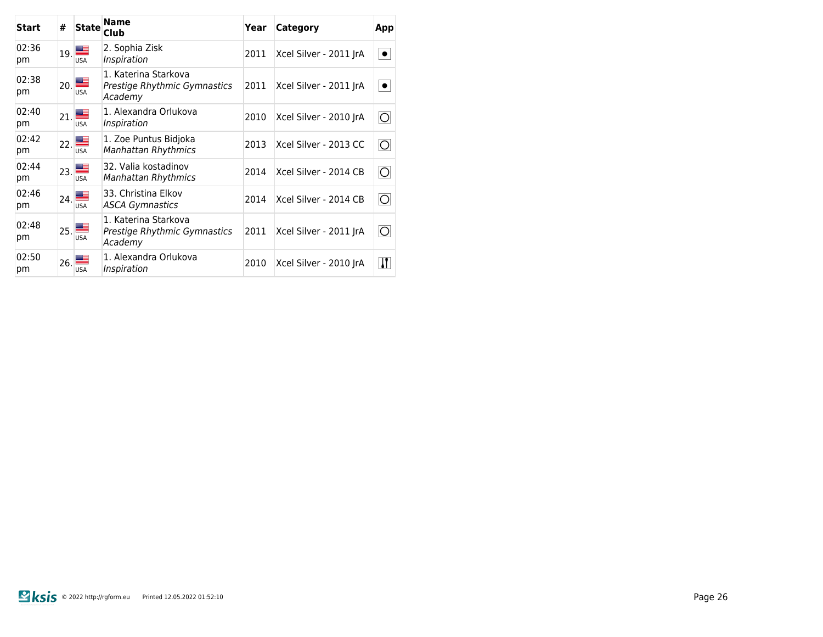| Start       | #   | <b>State</b>                                   | <b>Name</b><br>Club                                             | Year | Category               | App                                           |
|-------------|-----|------------------------------------------------|-----------------------------------------------------------------|------|------------------------|-----------------------------------------------|
| 02:36<br>pm |     | $\mathbf{1}_{19}$ $\blacksquare$<br><b>USA</b> | 2. Sophia Zisk<br>Inspiration                                   | 2011 | Xcel Silver - 2011 JrA | $\bullet$                                     |
| 02:38<br>pm |     | $\vert_{20}\vert$<br><b>USA</b>                | 1. Katerina Starkova<br>Prestige Rhythmic Gymnastics<br>Academy | 2011 | Xcel Silver - 2011 JrA | $\bullet$                                     |
| 02:40<br>pm | 21. | <b>USA</b>                                     | 1. Alexandra Orlukova<br>Inspiration                            | 2010 | Xcel Silver - 2010 IrA | $\overline{O}$                                |
| 02:42<br>pm | 22. | <b>USA</b>                                     | 1. Zoe Puntus Bidjoka<br><b>Manhattan Rhythmics</b>             | 2013 | Xcel Silver - 2013 CC  | $\overline{O}$                                |
| 02:44<br>pm | 23. | <b>USA</b>                                     | 32. Valia kostadinov<br><b>Manhattan Rhythmics</b>              | 2014 | Xcel Silver - 2014 CB  | $\overline{\bigcirc}$                         |
| 02:46<br>pm |     | $\overline{\phantom{a}}_{24}$<br><b>USA</b>    | 33. Christina Elkov<br><b>ASCA Gymnastics</b>                   | 2014 | Xcel Silver - 2014 CB  | $\overline{\bigcirc}$                         |
| 02:48<br>pm |     | $\overline{25}$ .<br><b>USA</b>                | 1. Katerina Starkova<br>Prestige Rhythmic Gymnastics<br>Academy | 2011 | Xcel Silver - 2011 JrA | $\overline{O}$                                |
| 02:50<br>рm | 26. | <b>USA</b>                                     | 1. Alexandra Orlukova<br>Inspiration                            | 2010 | Xcel Silver - 2010 JrA | $\vert \bm{\mathsf{I}} \bm{\mathsf{I}} \vert$ |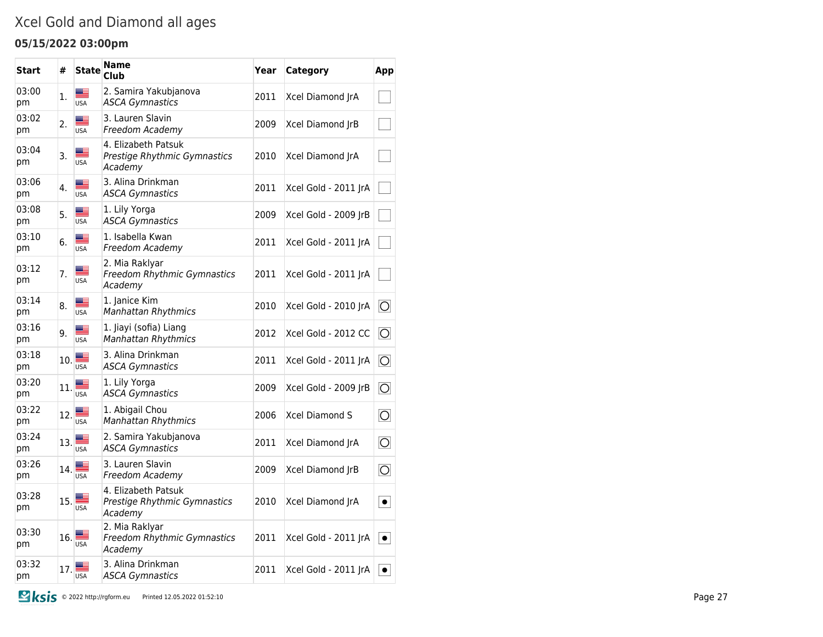## Xcel Gold and Diamond all ages

### **05/15/2022 03:00pm**

| Start       | #              | <b>State</b>           | <b>Name</b><br>Club                                            | Year | Category             | App                    |
|-------------|----------------|------------------------|----------------------------------------------------------------|------|----------------------|------------------------|
| 03:00<br>pm | $\mathbf{1}$ . | æ<br><b>USA</b>        | 2. Samira Yakubjanova<br><b>ASCA Gymnastics</b>                | 2011 | Xcel Diamond JrA     |                        |
| 03:02<br>pm | 2.             | ▆▆<br><b>USA</b>       | 3. Lauren Slavin<br>Freedom Academy                            | 2009 | Xcel Diamond JrB     |                        |
| 03:04<br>pm | 3.             | <b>USA</b>             | 4. Elizabeth Patsuk<br>Prestige Rhythmic Gymnastics<br>Academy | 2010 | Xcel Diamond JrA     |                        |
| 03:06<br>pm | 4.             | ▓▆<br><b>USA</b>       | 3. Alina Drinkman<br><b>ASCA Gymnastics</b>                    | 2011 | Xcel Gold - 2011 JrA |                        |
| 03:08<br>pm | 5.             | ≝<br><b>USA</b>        | 1. Lily Yorga<br><b>ASCA Gymnastics</b>                        | 2009 | Xcel Gold - 2009 JrB |                        |
| 03:10<br>pm | 6.             | ≝<br><b>USA</b>        | 1. Isabella Kwan<br>Freedom Academy                            | 2011 | Xcel Gold - 2011 JrA |                        |
| 03:12<br>pm | 7.             | <b>USA</b>             | 2. Mia Raklyar<br>Freedom Rhythmic Gymnastics<br>Academy       | 2011 | Xcel Gold - 2011 JrA |                        |
| 03:14<br>pm | 8.             | ▀<br><b>USA</b>        | 1. Janice Kim<br>Manhattan Rhythmics                           | 2010 | Xcel Gold - 2010 JrA | 10                     |
| 03:16<br>pm | 9.             | <b>USA</b>             | 1. Jiayi (sofia) Liang<br><b>Manhattan Rhythmics</b>           | 2012 | Xcel Gold - 2012 CC  | 10                     |
| 03:18<br>pm | 10.            | <b>USA</b>             | 3. Alina Drinkman<br><b>ASCA Gymnastics</b>                    | 2011 | Xcel Gold - 2011 JrA | $\circ$                |
| 03:20<br>pm | 11.            | <b>USA</b>             | 1. Lily Yorga<br><b>ASCA Gymnastics</b>                        | 2009 | Xcel Gold - 2009 JrB | $\vert \bigcirc \vert$ |
| 03:22<br>pm | 12.            | <b>USA</b>             | 1. Abigail Chou<br><b>Manhattan Rhythmics</b>                  | 2006 | Xcel Diamond S       | $\overline{\circ}$     |
| 03:24<br>pm | 13.            | <b>USA</b>             | 2. Samira Yakubjanova<br><b>ASCA Gymnastics</b>                | 2011 | Xcel Diamond JrA     | $\vert \bigcirc \vert$ |
| 03:26<br>pm | 14.            | <b>USA</b>             | 3. Lauren Slavin<br>Freedom Academy                            | 2009 | Xcel Diamond JrB     | $\overline{\circ}$     |
| 03:28<br>pm | 15.            | <b>USA</b>             | 4. Elizabeth Patsuk<br>Prestige Rhythmic Gymnastics<br>Academy | 2010 | Xcel Diamond JrA     | $\bullet$              |
| 03:30<br>pm | 16.            | $\frac{1}{\sqrt{15A}}$ | 2. Mia Raklyar<br>Freedom Rhythmic Gymnastics<br>Academy       | 2011 | Xcel Gold - 2011 JrA | $\bullet$              |
| 03:32<br>pm | 17.            | <b>USA</b>             | 3. Alina Drinkman<br><b>ASCA Gymnastics</b>                    | 2011 | Xcel Gold - 2011 JrA | $\bullet$              |